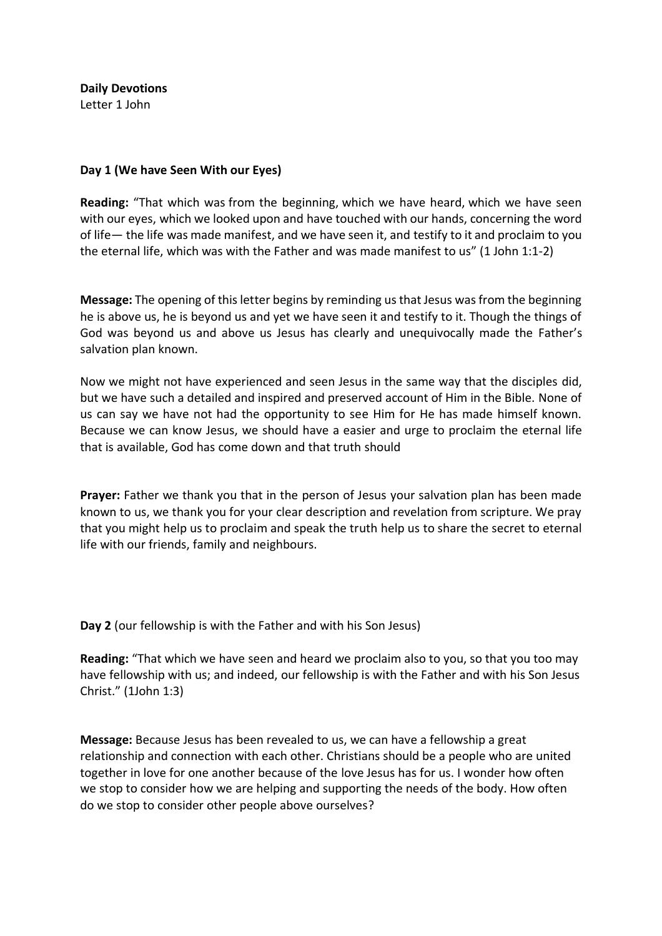**Daily Devotions**  Letter 1 John

## **Day 1 (We have Seen With our Eyes)**

**Reading:** "That which was from the beginning, which we have heard, which we have seen with our eyes, which we looked upon and have touched with our hands, concerning the word of life— the life was made manifest, and we have seen it, and testify to it and proclaim to you the eternal life, which was with the Father and was made manifest to us" (1 John 1:1-2)

**Message:** The opening of this letter begins by reminding us that Jesus was from the beginning he is above us, he is beyond us and yet we have seen it and testify to it. Though the things of God was beyond us and above us Jesus has clearly and unequivocally made the Father's salvation plan known.

Now we might not have experienced and seen Jesus in the same way that the disciples did, but we have such a detailed and inspired and preserved account of Him in the Bible. None of us can say we have not had the opportunity to see Him for He has made himself known. Because we can know Jesus, we should have a easier and urge to proclaim the eternal life that is available, God has come down and that truth should

**Prayer:** Father we thank you that in the person of Jesus your salvation plan has been made known to us, we thank you for your clear description and revelation from scripture. We pray that you might help us to proclaim and speak the truth help us to share the secret to eternal life with our friends, family and neighbours.

**Day 2** (our fellowship is with the Father and with his Son Jesus)

**Reading:** "That which we have seen and heard we proclaim also to you, so that you too may have fellowship with us; and indeed, our fellowship is with the Father and with his Son Jesus Christ." (1John 1:3)

**Message:** Because Jesus has been revealed to us, we can have a fellowship a great relationship and connection with each other. Christians should be a people who are united together in love for one another because of the love Jesus has for us. I wonder how often we stop to consider how we are helping and supporting the needs of the body. How often do we stop to consider other people above ourselves?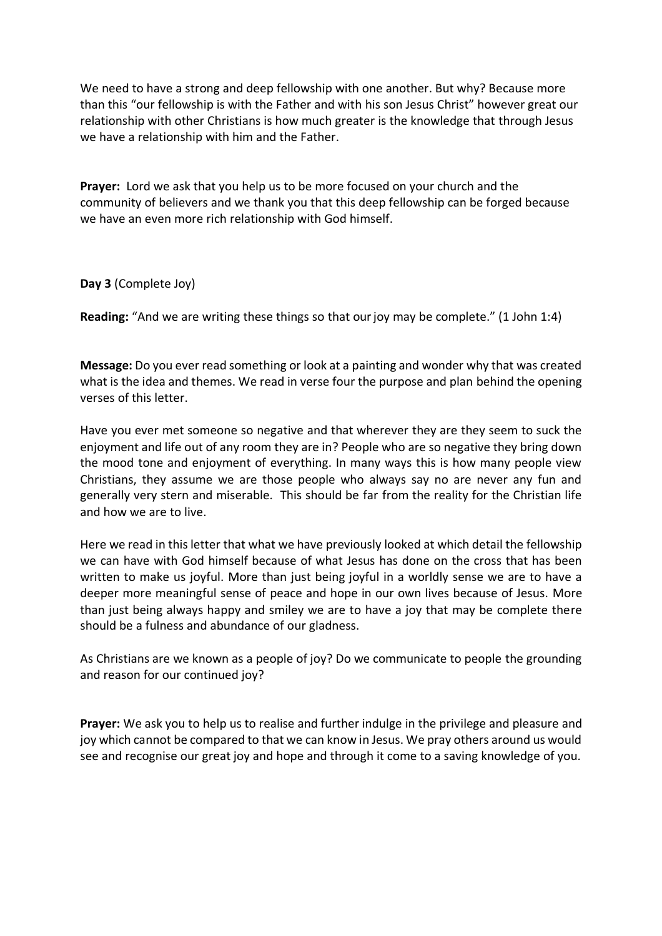We need to have a strong and deep fellowship with one another. But why? Because more than this "our fellowship is with the Father and with his son Jesus Christ" however great our relationship with other Christians is how much greater is the knowledge that through Jesus we have a relationship with him and the Father.

**Prayer:** Lord we ask that you help us to be more focused on your church and the community of believers and we thank you that this deep fellowship can be forged because we have an even more rich relationship with God himself.

## **Day 3** (Complete Joy)

**Reading:** "And we are writing these things so that our joy may be complete." (1 John 1:4)

**Message:** Do you ever read something or look at a painting and wonder why that was created what is the idea and themes. We read in verse four the purpose and plan behind the opening verses of this letter.

Have you ever met someone so negative and that wherever they are they seem to suck the enjoyment and life out of any room they are in? People who are so negative they bring down the mood tone and enjoyment of everything. In many ways this is how many people view Christians, they assume we are those people who always say no are never any fun and generally very stern and miserable. This should be far from the reality for the Christian life and how we are to live.

Here we read in this letter that what we have previously looked at which detail the fellowship we can have with God himself because of what Jesus has done on the cross that has been written to make us joyful. More than just being joyful in a worldly sense we are to have a deeper more meaningful sense of peace and hope in our own lives because of Jesus. More than just being always happy and smiley we are to have a joy that may be complete there should be a fulness and abundance of our gladness.

As Christians are we known as a people of joy? Do we communicate to people the grounding and reason for our continued joy?

**Prayer:** We ask you to help us to realise and further indulge in the privilege and pleasure and joy which cannot be compared to that we can know in Jesus. We pray others around us would see and recognise our great joy and hope and through it come to a saving knowledge of you.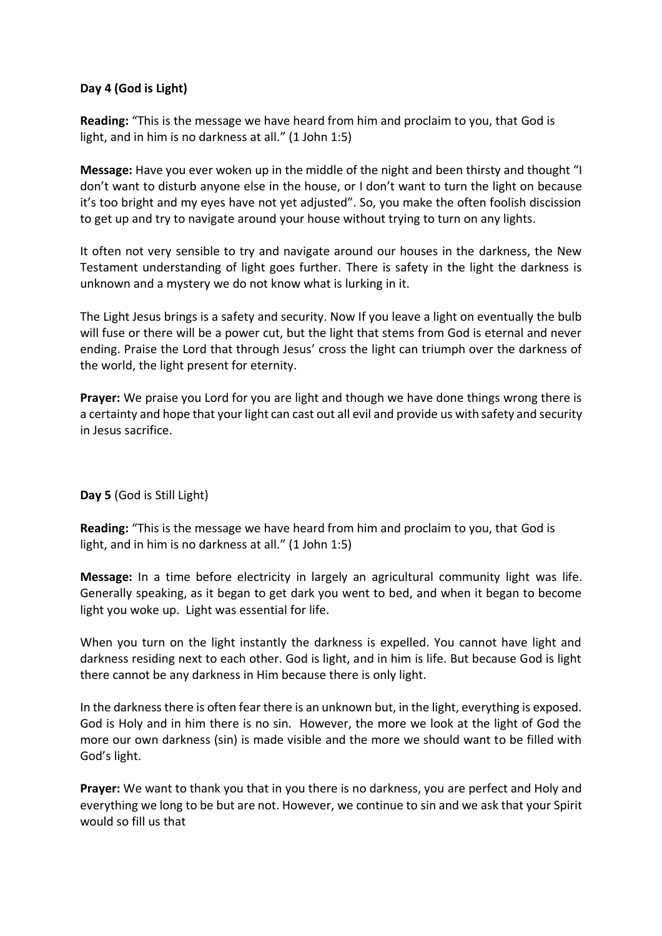## **Day 4 (God is Light)**

**Reading:** "This is the message we have heard from him and proclaim to you, that God is light, and in him is no darkness at all." (1 John 1:5)

**Message:** Have you ever woken up in the middle of the night and been thirsty and thought "I don't want to disturb anyone else in the house, or I don't want to turn the light on because it's too bright and my eyes have not yet adjusted". So, you make the often foolish discission to get up and try to navigate around your house without trying to turn on any lights.

It often not very sensible to try and navigate around our houses in the darkness, the New Testament understanding of light goes further. There is safety in the light the darkness is unknown and a mystery we do not know what is lurking in it.

The Light Jesus brings is a safety and security. Now If you leave a light on eventually the bulb will fuse or there will be a power cut, but the light that stems from God is eternal and never ending. Praise the Lord that through Jesus' cross the light can triumph over the darkness of the world, the light present for eternity.

**Prayer:** We praise you Lord for you are light and though we have done things wrong there is a certainty and hope that your light can cast out all evil and provide us with safety and security in Jesus sacrifice.

**Day 5** (God is Still Light)

**Reading:** "This is the message we have heard from him and proclaim to you, that God is light, and in him is no darkness at all." (1 John 1:5)

**Message:** In a time before electricity in largely an agricultural community light was life. Generally speaking, as it began to get dark you went to bed, and when it began to become light you woke up. Light was essential for life.

When you turn on the light instantly the darkness is expelled. You cannot have light and darkness residing next to each other. God is light, and in him is life. But because God is light there cannot be any darkness in Him because there is only light.

In the darkness there is often fear there is an unknown but, in the light, everything is exposed. God is Holy and in him there is no sin. However, the more we look at the light of God the more our own darkness (sin) is made visible and the more we should want to be filled with God's light.

**Prayer:** We want to thank you that in you there is no darkness, you are perfect and Holy and everything we long to be but are not. However, we continue to sin and we ask that your Spirit would so fill us that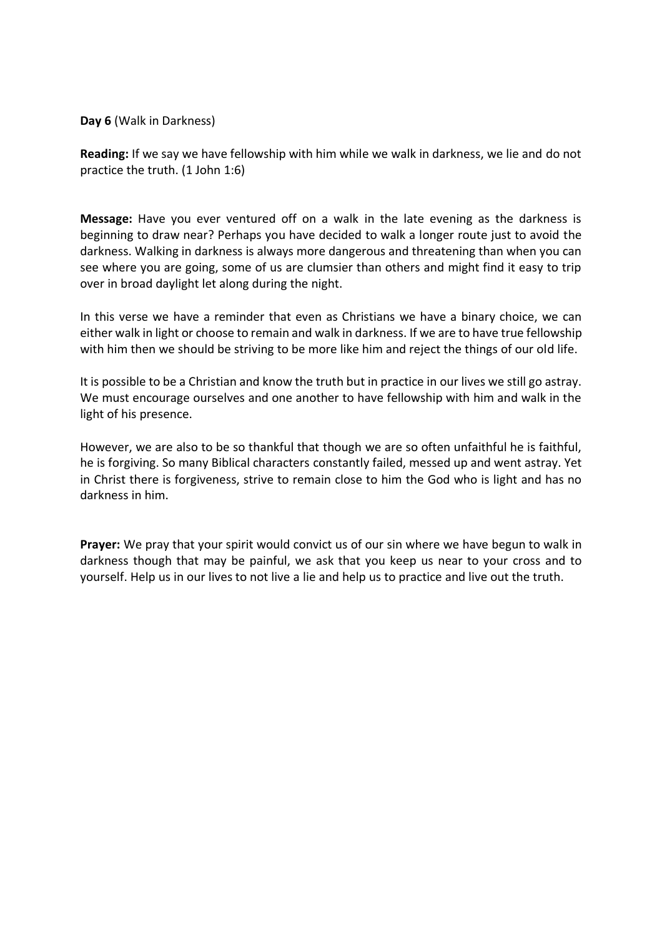**Day 6** (Walk in Darkness)

**Reading:** If we say we have fellowship with him while we walk in darkness, we lie and do not practice the truth. (1 John 1:6)

**Message:** Have you ever ventured off on a walk in the late evening as the darkness is beginning to draw near? Perhaps you have decided to walk a longer route just to avoid the darkness. Walking in darkness is always more dangerous and threatening than when you can see where you are going, some of us are clumsier than others and might find it easy to trip over in broad daylight let along during the night.

In this verse we have a reminder that even as Christians we have a binary choice, we can either walk in light or choose to remain and walk in darkness. If we are to have true fellowship with him then we should be striving to be more like him and reject the things of our old life.

It is possible to be a Christian and know the truth but in practice in our lives we still go astray. We must encourage ourselves and one another to have fellowship with him and walk in the light of his presence.

However, we are also to be so thankful that though we are so often unfaithful he is faithful, he is forgiving. So many Biblical characters constantly failed, messed up and went astray. Yet in Christ there is forgiveness, strive to remain close to him the God who is light and has no darkness in him.

**Prayer:** We pray that your spirit would convict us of our sin where we have begun to walk in darkness though that may be painful, we ask that you keep us near to your cross and to yourself. Help us in our lives to not live a lie and help us to practice and live out the truth.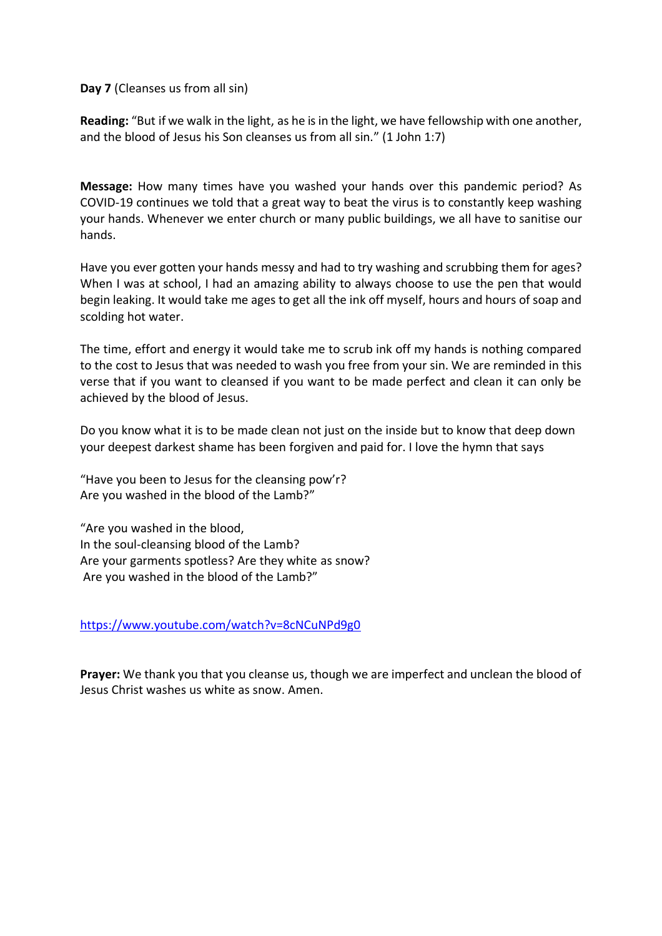**Day 7** (Cleanses us from all sin)

**Reading:** "But if we walk in the light, as he is in the light, we have fellowship with one another, and the blood of Jesus his Son cleanses us from all sin." (1 John 1:7)

**Message:** How many times have you washed your hands over this pandemic period? As COVID-19 continues we told that a great way to beat the virus is to constantly keep washing your hands. Whenever we enter church or many public buildings, we all have to sanitise our hands.

Have you ever gotten your hands messy and had to try washing and scrubbing them for ages? When I was at school, I had an amazing ability to always choose to use the pen that would begin leaking. It would take me ages to get all the ink off myself, hours and hours of soap and scolding hot water.

The time, effort and energy it would take me to scrub ink off my hands is nothing compared to the cost to Jesus that was needed to wash you free from your sin. We are reminded in this verse that if you want to cleansed if you want to be made perfect and clean it can only be achieved by the blood of Jesus.

Do you know what it is to be made clean not just on the inside but to know that deep down your deepest darkest shame has been forgiven and paid for. I love the hymn that says

"Have you been to Jesus for the cleansing pow'r? Are you washed in the blood of the Lamb?"

"Are you washed in the blood, In the soul-cleansing blood of the Lamb? Are your garments spotless? Are they white as snow? Are you washed in the blood of the Lamb?"

<https://www.youtube.com/watch?v=8cNCuNPd9g0>

**Prayer:** We thank you that you cleanse us, though we are imperfect and unclean the blood of Jesus Christ washes us white as snow. Amen.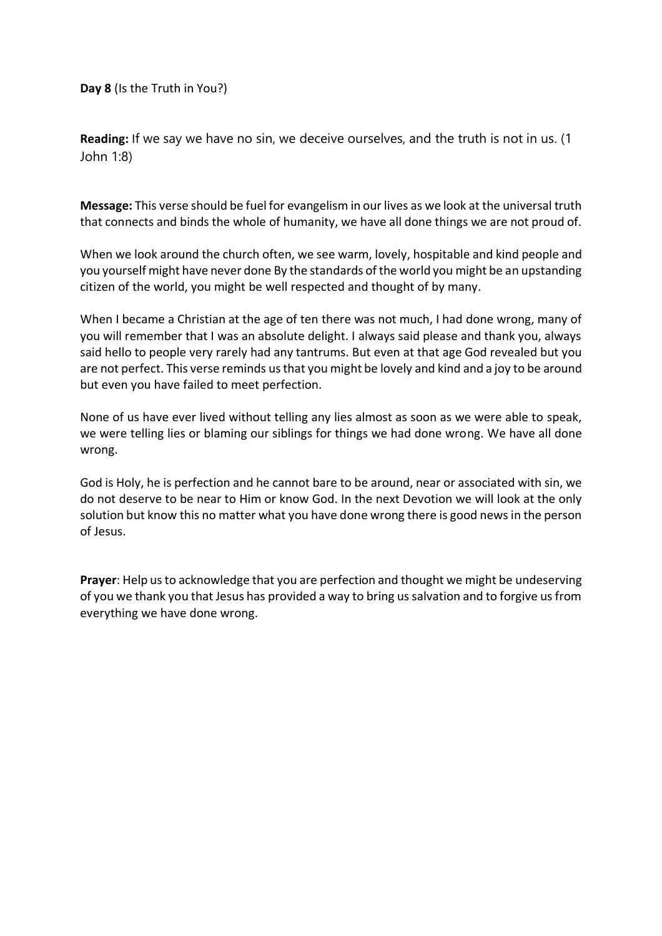**Day 8** (Is the Truth in You?)

**Reading:** If we say we have no sin, we deceive ourselves, and the truth is not in us. (1 John 1:8)

**Message:** This verse should be fuel for evangelism in our lives as we look at the universal truth that connects and binds the whole of humanity, we have all done things we are not proud of.

When we look around the church often, we see warm, lovely, hospitable and kind people and you yourself might have never done By the standards of the world you might be an upstanding citizen of the world, you might be well respected and thought of by many.

When I became a Christian at the age of ten there was not much, I had done wrong, many of you will remember that I was an absolute delight. I always said please and thank you, always said hello to people very rarely had any tantrums. But even at that age God revealed but you are not perfect. This verse reminds us that you might be lovely and kind and a joy to be around but even you have failed to meet perfection.

None of us have ever lived without telling any lies almost as soon as we were able to speak, we were telling lies or blaming our siblings for things we had done wrong. We have all done wrong.

God is Holy, he is perfection and he cannot bare to be around, near or associated with sin, we do not deserve to be near to Him or know God. In the next Devotion we will look at the only solution but know this no matter what you have done wrong there is good news in the person of Jesus.

**Prayer**: Help us to acknowledge that you are perfection and thought we might be undeserving of you we thank you that Jesus has provided a way to bring us salvation and to forgive us from everything we have done wrong.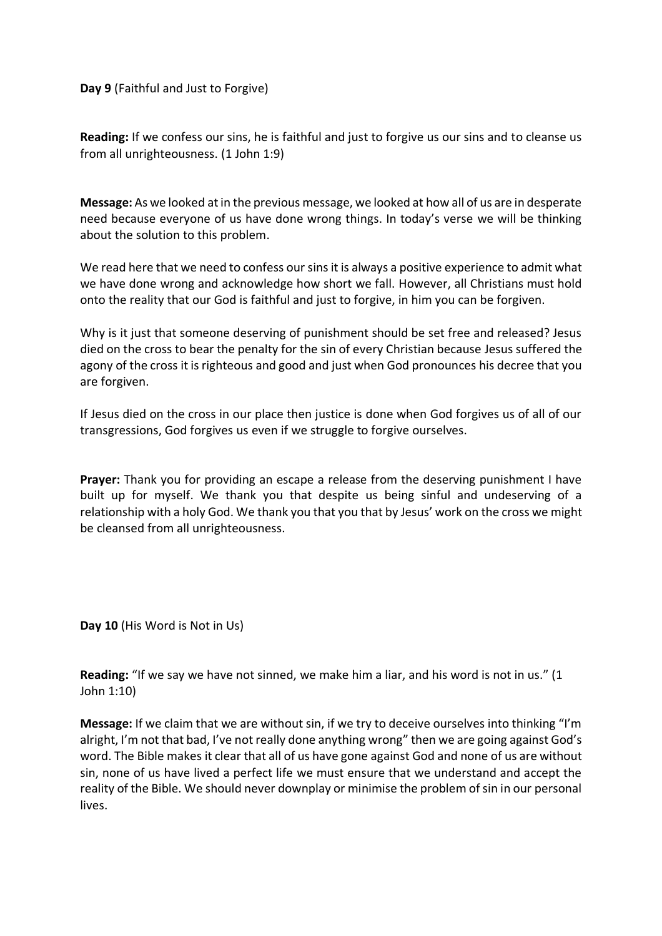**Day 9** (Faithful and Just to Forgive)

**Reading:** If we confess our sins, he is faithful and just to forgive us our sins and to cleanse us from all unrighteousness. (1 John 1:9)

**Message:** As we looked at in the previous message, we looked at how all of us are in desperate need because everyone of us have done wrong things. In today's verse we will be thinking about the solution to this problem.

We read here that we need to confess our sins it is always a positive experience to admit what we have done wrong and acknowledge how short we fall. However, all Christians must hold onto the reality that our God is faithful and just to forgive, in him you can be forgiven.

Why is it just that someone deserving of punishment should be set free and released? Jesus died on the cross to bear the penalty for the sin of every Christian because Jesus suffered the agony of the cross it is righteous and good and just when God pronounces his decree that you are forgiven.

If Jesus died on the cross in our place then justice is done when God forgives us of all of our transgressions, God forgives us even if we struggle to forgive ourselves.

**Prayer:** Thank you for providing an escape a release from the deserving punishment I have built up for myself. We thank you that despite us being sinful and undeserving of a relationship with a holy God. We thank you that you that by Jesus' work on the cross we might be cleansed from all unrighteousness.

**Day 10** (His Word is Not in Us)

**Reading:** "If we say we have not sinned, we make him a liar, and his word is not in us." (1 John 1:10)

**Message:** If we claim that we are without sin, if we try to deceive ourselves into thinking "I'm alright, I'm not that bad, I've not really done anything wrong" then we are going against God's word. The Bible makes it clear that all of us have gone against God and none of us are without sin, none of us have lived a perfect life we must ensure that we understand and accept the reality of the Bible. We should never downplay or minimise the problem of sin in our personal lives.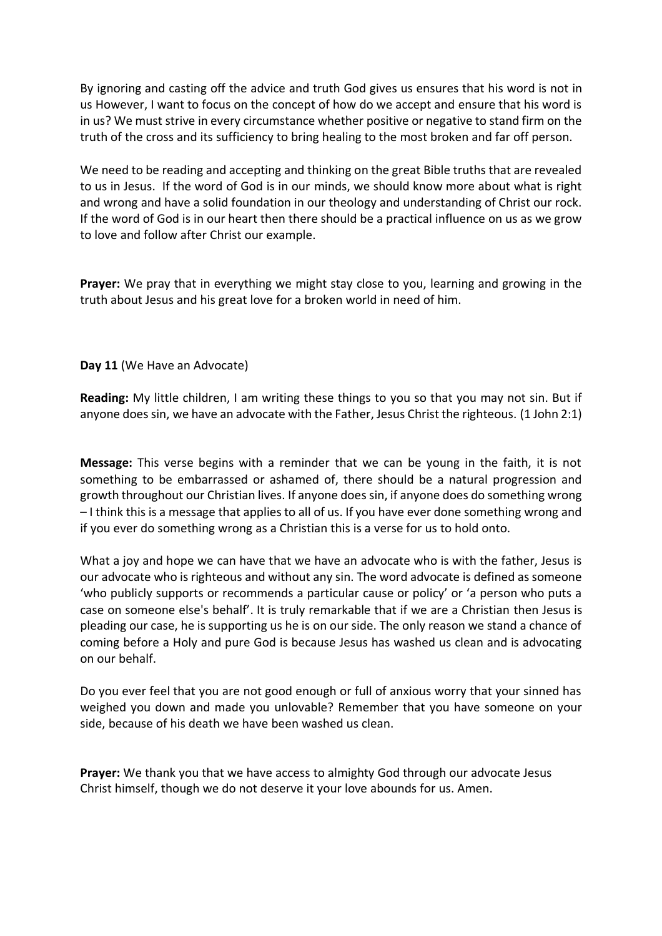By ignoring and casting off the advice and truth God gives us ensures that his word is not in us However, I want to focus on the concept of how do we accept and ensure that his word is in us? We must strive in every circumstance whether positive or negative to stand firm on the truth of the cross and its sufficiency to bring healing to the most broken and far off person.

We need to be reading and accepting and thinking on the great Bible truths that are revealed to us in Jesus. If the word of God is in our minds, we should know more about what is right and wrong and have a solid foundation in our theology and understanding of Christ our rock. If the word of God is in our heart then there should be a practical influence on us as we grow to love and follow after Christ our example.

**Prayer:** We pray that in everything we might stay close to you, learning and growing in the truth about Jesus and his great love for a broken world in need of him.

**Day 11** (We Have an Advocate)

**Reading:** My little children, I am writing these things to you so that you may not sin. But if anyone does sin, we have an advocate with the Father, Jesus Christ the righteous. (1 John 2:1)

**Message:** This verse begins with a reminder that we can be young in the faith, it is not something to be embarrassed or ashamed of, there should be a natural progression and growth throughout our Christian lives. If anyone does sin, if anyone does do something wrong – I think this is a message that applies to all of us. If you have ever done something wrong and if you ever do something wrong as a Christian this is a verse for us to hold onto.

What a joy and hope we can have that we have an advocate who is with the father, Jesus is our advocate who is righteous and without any sin. The word advocate is defined as someone 'who publicly supports or recommends a particular cause or policy' or 'a person who puts a case on someone else's behalf'. It is truly remarkable that if we are a Christian then Jesus is pleading our case, he is supporting us he is on our side. The only reason we stand a chance of coming before a Holy and pure God is because Jesus has washed us clean and is advocating on our behalf.

Do you ever feel that you are not good enough or full of anxious worry that your sinned has weighed you down and made you unlovable? Remember that you have someone on your side, because of his death we have been washed us clean.

**Prayer:** We thank you that we have access to almighty God through our advocate Jesus Christ himself, though we do not deserve it your love abounds for us. Amen.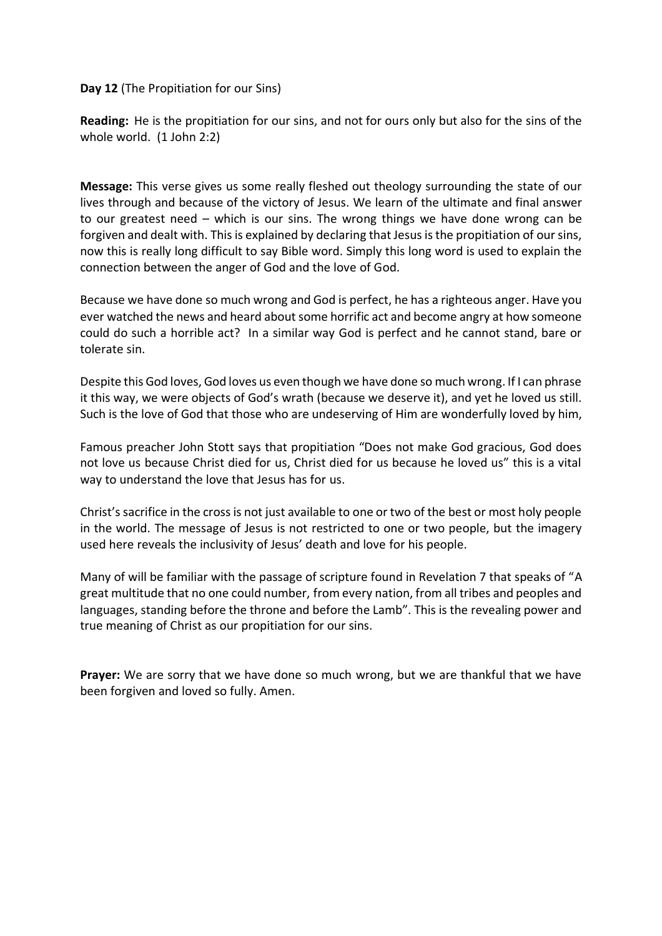## **Day 12** (The Propitiation for our Sins)

**Reading:** He is the propitiation for our sins, and not for ours only but also for the sins of the whole world. (1 John 2:2)

**Message:** This verse gives us some really fleshed out theology surrounding the state of our lives through and because of the victory of Jesus. We learn of the ultimate and final answer to our greatest need – which is our sins. The wrong things we have done wrong can be forgiven and dealt with. This is explained by declaring that Jesus is the propitiation of our sins, now this is really long difficult to say Bible word. Simply this long word is used to explain the connection between the anger of God and the love of God.

Because we have done so much wrong and God is perfect, he has a righteous anger. Have you ever watched the news and heard about some horrific act and become angry at how someone could do such a horrible act? In a similar way God is perfect and he cannot stand, bare or tolerate sin.

Despite this God loves, God loves us even though we have done so much wrong. If I can phrase it this way, we were objects of God's wrath (because we deserve it), and yet he loved us still. Such is the love of God that those who are undeserving of Him are wonderfully loved by him,

Famous preacher John Stott says that propitiation "Does not make God gracious, God does not love us because Christ died for us, Christ died for us because he loved us" this is a vital way to understand the love that Jesus has for us.

Christ's sacrifice in the cross is not just available to one or two of the best or most holy people in the world. The message of Jesus is not restricted to one or two people, but the imagery used here reveals the inclusivity of Jesus' death and love for his people.

Many of will be familiar with the passage of scripture found in Revelation 7 that speaks of "A great multitude that no one could number, from every nation, from all tribes and peoples and languages, standing before the throne and before the Lamb". This is the revealing power and true meaning of Christ as our propitiation for our sins.

**Prayer:** We are sorry that we have done so much wrong, but we are thankful that we have been forgiven and loved so fully. Amen.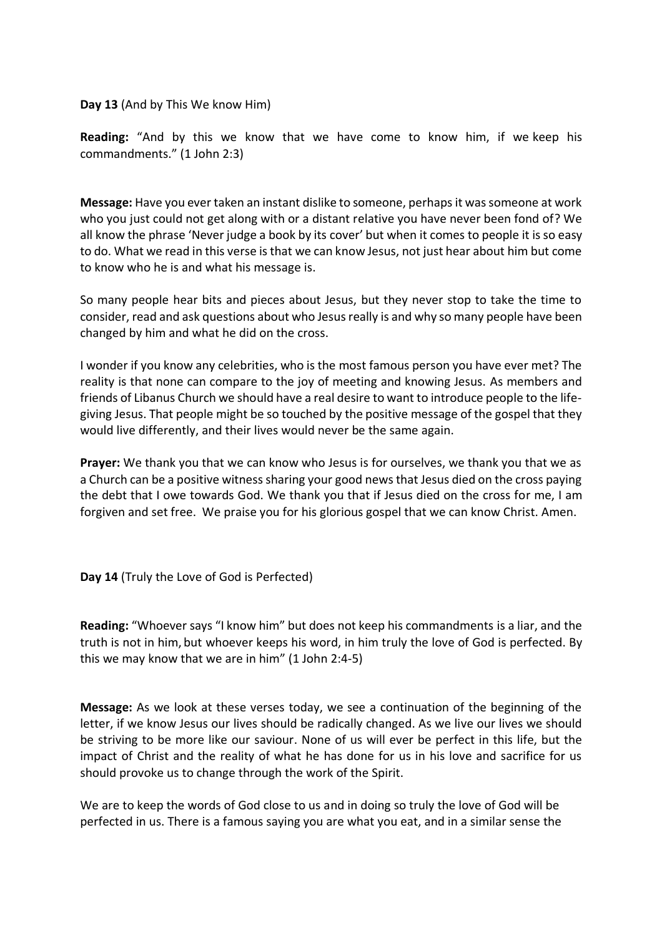**Day 13** (And by This We know Him)

**Reading:** "And by this we know that we have come to know him, if we keep his commandments." (1 John 2:3)

**Message:** Have you ever taken an instant dislike to someone, perhaps it was someone at work who you just could not get along with or a distant relative you have never been fond of? We all know the phrase 'Never judge a book by its cover' but when it comes to people it is so easy to do. What we read in this verse is that we can know Jesus, not just hear about him but come to know who he is and what his message is.

So many people hear bits and pieces about Jesus, but they never stop to take the time to consider, read and ask questions about who Jesus really is and why so many people have been changed by him and what he did on the cross.

I wonder if you know any celebrities, who is the most famous person you have ever met? The reality is that none can compare to the joy of meeting and knowing Jesus. As members and friends of Libanus Church we should have a real desire to want to introduce people to the lifegiving Jesus. That people might be so touched by the positive message of the gospel that they would live differently, and their lives would never be the same again.

**Prayer:** We thank you that we can know who Jesus is for ourselves, we thank you that we as a Church can be a positive witness sharing your good news that Jesus died on the cross paying the debt that I owe towards God. We thank you that if Jesus died on the cross for me, I am forgiven and set free. We praise you for his glorious gospel that we can know Christ. Amen.

**Day 14** (Truly the Love of God is Perfected)

**Reading:** "Whoever says "I know him" but does not keep his commandments is a liar, and the truth is not in him, but whoever keeps his word, in him truly the love of God is perfected. By this we may know that we are in him" (1 John 2:4-5)

**Message:** As we look at these verses today, we see a continuation of the beginning of the letter, if we know Jesus our lives should be radically changed. As we live our lives we should be striving to be more like our saviour. None of us will ever be perfect in this life, but the impact of Christ and the reality of what he has done for us in his love and sacrifice for us should provoke us to change through the work of the Spirit.

We are to keep the words of God close to us and in doing so truly the love of God will be perfected in us. There is a famous saying you are what you eat, and in a similar sense the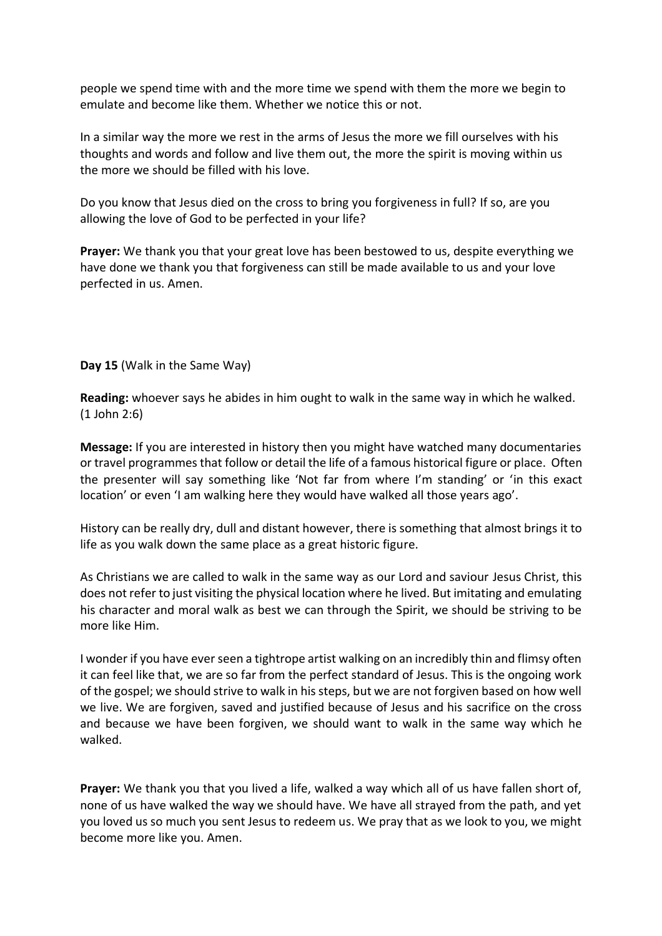people we spend time with and the more time we spend with them the more we begin to emulate and become like them. Whether we notice this or not.

In a similar way the more we rest in the arms of Jesus the more we fill ourselves with his thoughts and words and follow and live them out, the more the spirit is moving within us the more we should be filled with his love.

Do you know that Jesus died on the cross to bring you forgiveness in full? If so, are you allowing the love of God to be perfected in your life?

**Prayer:** We thank you that your great love has been bestowed to us, despite everything we have done we thank you that forgiveness can still be made available to us and your love perfected in us. Amen.

**Day 15** (Walk in the Same Way)

**Reading:** whoever says he abides in him ought to walk in the same way in which he walked. (1 John 2:6)

**Message:** If you are interested in history then you might have watched many documentaries or travel programmes that follow or detail the life of a famous historical figure or place. Often the presenter will say something like 'Not far from where I'm standing' or 'in this exact location' or even 'I am walking here they would have walked all those years ago'.

History can be really dry, dull and distant however, there is something that almost brings it to life as you walk down the same place as a great historic figure.

As Christians we are called to walk in the same way as our Lord and saviour Jesus Christ, this does not refer to just visiting the physical location where he lived. But imitating and emulating his character and moral walk as best we can through the Spirit, we should be striving to be more like Him.

I wonder if you have ever seen a tightrope artist walking on an incredibly thin and flimsy often it can feel like that, we are so far from the perfect standard of Jesus. This is the ongoing work of the gospel; we should strive to walk in his steps, but we are not forgiven based on how well we live. We are forgiven, saved and justified because of Jesus and his sacrifice on the cross and because we have been forgiven, we should want to walk in the same way which he walked.

**Prayer:** We thank you that you lived a life, walked a way which all of us have fallen short of, none of us have walked the way we should have. We have all strayed from the path, and yet you loved us so much you sent Jesus to redeem us. We pray that as we look to you, we might become more like you. Amen.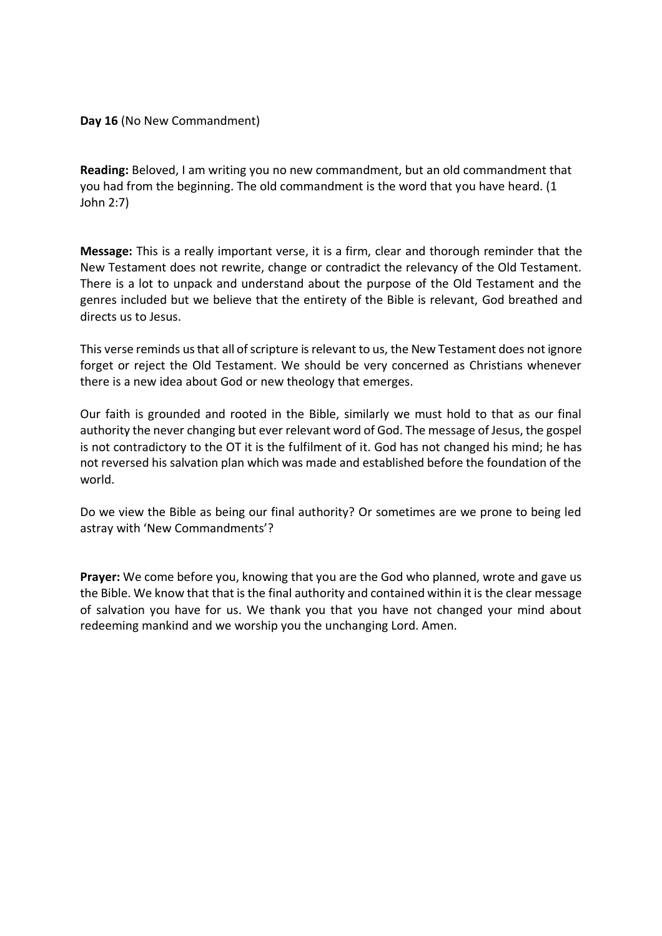**Day 16** (No New Commandment)

**Reading:** Beloved, I am writing you no new commandment, but an old commandment that you had from the beginning. The old commandment is the word that you have heard. (1 John 2:7)

**Message:** This is a really important verse, it is a firm, clear and thorough reminder that the New Testament does not rewrite, change or contradict the relevancy of the Old Testament. There is a lot to unpack and understand about the purpose of the Old Testament and the genres included but we believe that the entirety of the Bible is relevant, God breathed and directs us to Jesus.

This verse reminds us that all of scripture is relevant to us, the New Testament does not ignore forget or reject the Old Testament. We should be very concerned as Christians whenever there is a new idea about God or new theology that emerges.

Our faith is grounded and rooted in the Bible, similarly we must hold to that as our final authority the never changing but ever relevant word of God. The message of Jesus, the gospel is not contradictory to the OT it is the fulfilment of it. God has not changed his mind; he has not reversed his salvation plan which was made and established before the foundation of the world.

Do we view the Bible as being our final authority? Or sometimes are we prone to being led astray with 'New Commandments'?

**Prayer:** We come before you, knowing that you are the God who planned, wrote and gave us the Bible. We know that that is the final authority and contained within it is the clear message of salvation you have for us. We thank you that you have not changed your mind about redeeming mankind and we worship you the unchanging Lord. Amen.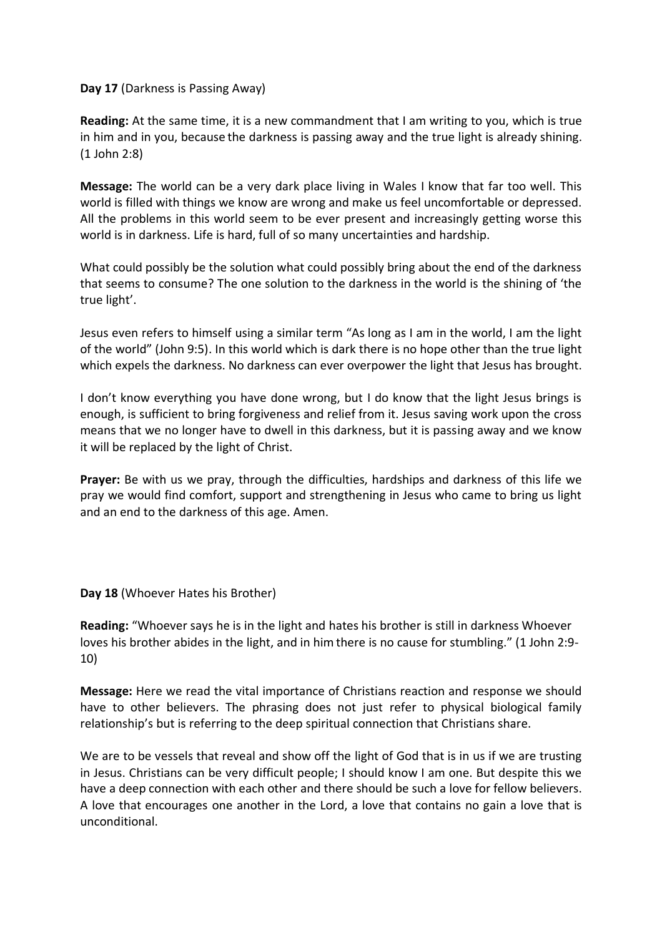## **Day 17** (Darkness is Passing Away)

**Reading:** At the same time, it is a new commandment that I am writing to you, which is true in him and in you, because the darkness is passing away and the true light is already shining. (1 John 2:8)

**Message:** The world can be a very dark place living in Wales I know that far too well. This world is filled with things we know are wrong and make us feel uncomfortable or depressed. All the problems in this world seem to be ever present and increasingly getting worse this world is in darkness. Life is hard, full of so many uncertainties and hardship.

What could possibly be the solution what could possibly bring about the end of the darkness that seems to consume? The one solution to the darkness in the world is the shining of 'the true light'.

Jesus even refers to himself using a similar term "As long as I am in the world, I am the light of the world" (John 9:5). In this world which is dark there is no hope other than the true light which expels the darkness. No darkness can ever overpower the light that Jesus has brought.

I don't know everything you have done wrong, but I do know that the light Jesus brings is enough, is sufficient to bring forgiveness and relief from it. Jesus saving work upon the cross means that we no longer have to dwell in this darkness, but it is passing away and we know it will be replaced by the light of Christ.

**Prayer:** Be with us we pray, through the difficulties, hardships and darkness of this life we pray we would find comfort, support and strengthening in Jesus who came to bring us light and an end to the darkness of this age. Amen.

**Day 18** (Whoever Hates his Brother)

**Reading:** "Whoever says he is in the light and hates his brother is still in darkness Whoever loves his brother abides in the light, and in him there is no cause for stumbling." (1 John 2:9- 10)

**Message:** Here we read the vital importance of Christians reaction and response we should have to other believers. The phrasing does not just refer to physical biological family relationship's but is referring to the deep spiritual connection that Christians share.

We are to be vessels that reveal and show off the light of God that is in us if we are trusting in Jesus. Christians can be very difficult people; I should know I am one. But despite this we have a deep connection with each other and there should be such a love for fellow believers. A love that encourages one another in the Lord, a love that contains no gain a love that is unconditional.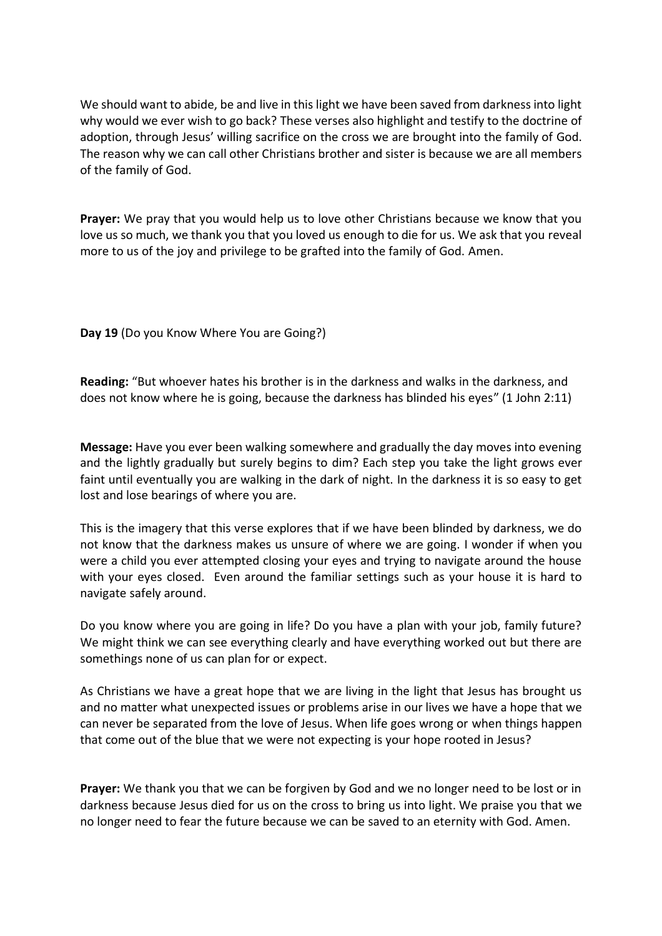We should want to abide, be and live in this light we have been saved from darkness into light why would we ever wish to go back? These verses also highlight and testify to the doctrine of adoption, through Jesus' willing sacrifice on the cross we are brought into the family of God. The reason why we can call other Christians brother and sister is because we are all members of the family of God.

**Prayer:** We pray that you would help us to love other Christians because we know that you love us so much, we thank you that you loved us enough to die for us. We ask that you reveal more to us of the joy and privilege to be grafted into the family of God. Amen.

**Day 19** (Do you Know Where You are Going?)

**Reading:** "But whoever hates his brother is in the darkness and walks in the darkness, and does not know where he is going, because the darkness has blinded his eyes" (1 John 2:11)

**Message:** Have you ever been walking somewhere and gradually the day moves into evening and the lightly gradually but surely begins to dim? Each step you take the light grows ever faint until eventually you are walking in the dark of night. In the darkness it is so easy to get lost and lose bearings of where you are.

This is the imagery that this verse explores that if we have been blinded by darkness, we do not know that the darkness makes us unsure of where we are going. I wonder if when you were a child you ever attempted closing your eyes and trying to navigate around the house with your eyes closed. Even around the familiar settings such as your house it is hard to navigate safely around.

Do you know where you are going in life? Do you have a plan with your job, family future? We might think we can see everything clearly and have everything worked out but there are somethings none of us can plan for or expect.

As Christians we have a great hope that we are living in the light that Jesus has brought us and no matter what unexpected issues or problems arise in our lives we have a hope that we can never be separated from the love of Jesus. When life goes wrong or when things happen that come out of the blue that we were not expecting is your hope rooted in Jesus?

**Prayer:** We thank you that we can be forgiven by God and we no longer need to be lost or in darkness because Jesus died for us on the cross to bring us into light. We praise you that we no longer need to fear the future because we can be saved to an eternity with God. Amen.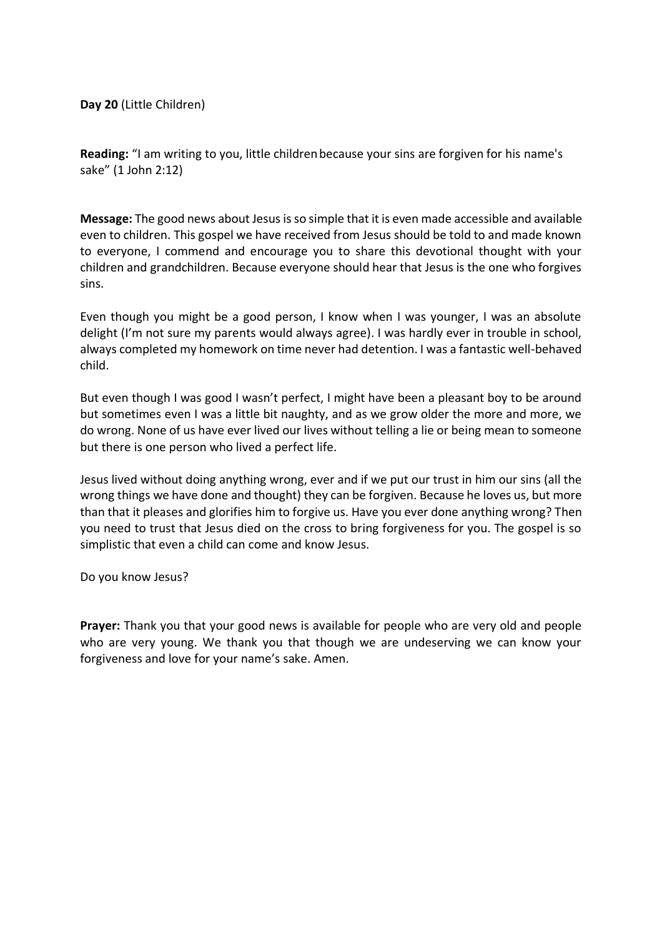**Day 20** (Little Children)

**Reading:** "I am writing to you, little childrenbecause your sins are forgiven for his name's sake" (1 John 2:12)

**Message:** The good news about Jesus is so simple that it is even made accessible and available even to children. This gospel we have received from Jesus should be told to and made known to everyone, I commend and encourage you to share this devotional thought with your children and grandchildren. Because everyone should hear that Jesus is the one who forgives sins.

Even though you might be a good person, I know when I was younger, I was an absolute delight (I'm not sure my parents would always agree). I was hardly ever in trouble in school, always completed my homework on time never had detention. I was a fantastic well-behaved child.

But even though I was good I wasn't perfect, I might have been a pleasant boy to be around but sometimes even I was a little bit naughty, and as we grow older the more and more, we do wrong. None of us have ever lived our lives without telling a lie or being mean to someone but there is one person who lived a perfect life.

Jesus lived without doing anything wrong, ever and if we put our trust in him our sins (all the wrong things we have done and thought) they can be forgiven. Because he loves us, but more than that it pleases and glorifies him to forgive us. Have you ever done anything wrong? Then you need to trust that Jesus died on the cross to bring forgiveness for you. The gospel is so simplistic that even a child can come and know Jesus.

Do you know Jesus?

**Prayer:** Thank you that your good news is available for people who are very old and people who are very young. We thank you that though we are undeserving we can know your forgiveness and love for your name's sake. Amen.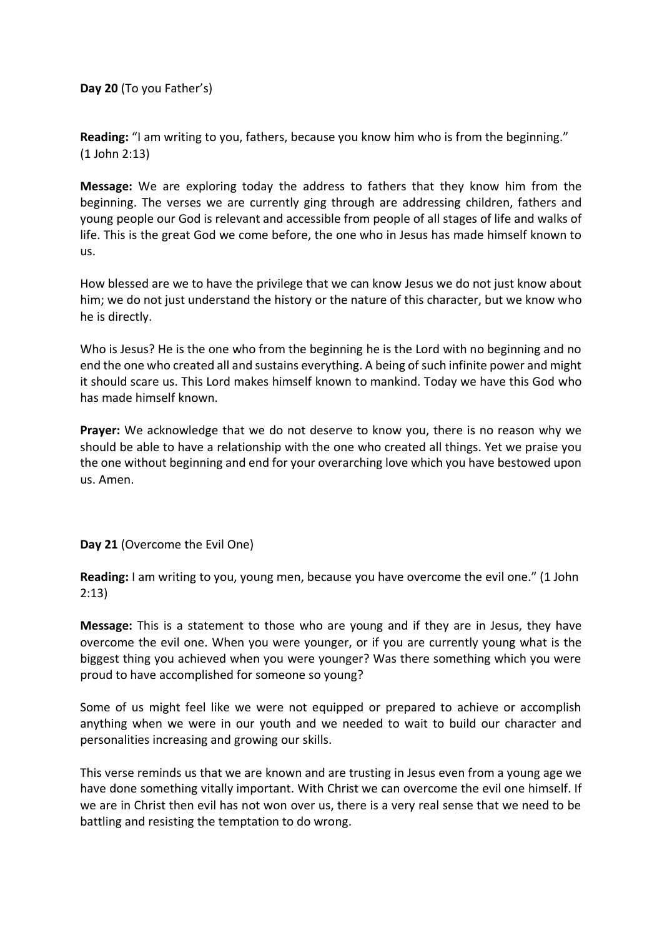**Day 20** (To you Father's)

**Reading:** "I am writing to you, fathers, because you know him who is from the beginning." (1 John 2:13)

**Message:** We are exploring today the address to fathers that they know him from the beginning. The verses we are currently ging through are addressing children, fathers and young people our God is relevant and accessible from people of all stages of life and walks of life. This is the great God we come before, the one who in Jesus has made himself known to us.

How blessed are we to have the privilege that we can know Jesus we do not just know about him; we do not just understand the history or the nature of this character, but we know who he is directly.

Who is Jesus? He is the one who from the beginning he is the Lord with no beginning and no end the one who created all and sustains everything. A being of such infinite power and might it should scare us. This Lord makes himself known to mankind. Today we have this God who has made himself known.

**Prayer:** We acknowledge that we do not deserve to know you, there is no reason why we should be able to have a relationship with the one who created all things. Yet we praise you the one without beginning and end for your overarching love which you have bestowed upon us. Amen.

## **Day 21** (Overcome the Evil One)

**Reading:** I am writing to you, young men, because you have overcome the evil one." (1 John 2:13)

**Message:** This is a statement to those who are young and if they are in Jesus, they have overcome the evil one. When you were younger, or if you are currently young what is the biggest thing you achieved when you were younger? Was there something which you were proud to have accomplished for someone so young?

Some of us might feel like we were not equipped or prepared to achieve or accomplish anything when we were in our youth and we needed to wait to build our character and personalities increasing and growing our skills.

This verse reminds us that we are known and are trusting in Jesus even from a young age we have done something vitally important. With Christ we can overcome the evil one himself. If we are in Christ then evil has not won over us, there is a very real sense that we need to be battling and resisting the temptation to do wrong.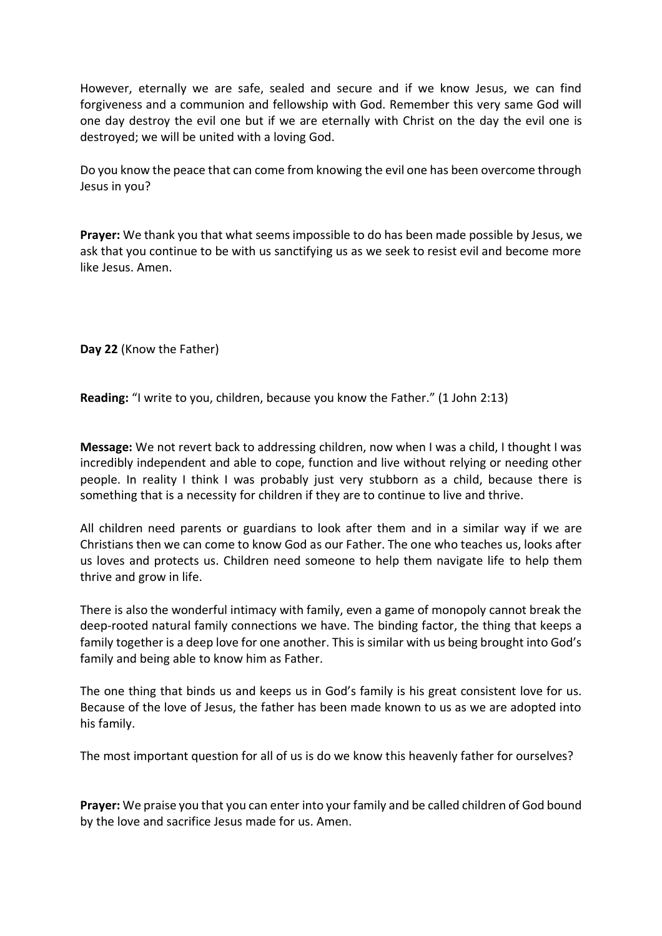However, eternally we are safe, sealed and secure and if we know Jesus, we can find forgiveness and a communion and fellowship with God. Remember this very same God will one day destroy the evil one but if we are eternally with Christ on the day the evil one is destroyed; we will be united with a loving God.

Do you know the peace that can come from knowing the evil one has been overcome through Jesus in you?

**Prayer:** We thank you that what seems impossible to do has been made possible by Jesus, we ask that you continue to be with us sanctifying us as we seek to resist evil and become more like Jesus. Amen.

**Day 22** (Know the Father)

**Reading:** "I write to you, children, because you know the Father." (1 John 2:13)

**Message:** We not revert back to addressing children, now when I was a child, I thought I was incredibly independent and able to cope, function and live without relying or needing other people. In reality I think I was probably just very stubborn as a child, because there is something that is a necessity for children if they are to continue to live and thrive.

All children need parents or guardians to look after them and in a similar way if we are Christians then we can come to know God as our Father. The one who teaches us, looks after us loves and protects us. Children need someone to help them navigate life to help them thrive and grow in life.

There is also the wonderful intimacy with family, even a game of monopoly cannot break the deep-rooted natural family connections we have. The binding factor, the thing that keeps a family together is a deep love for one another. This is similar with us being brought into God's family and being able to know him as Father.

The one thing that binds us and keeps us in God's family is his great consistent love for us. Because of the love of Jesus, the father has been made known to us as we are adopted into his family.

The most important question for all of us is do we know this heavenly father for ourselves?

**Prayer:** We praise you that you can enter into your family and be called children of God bound by the love and sacrifice Jesus made for us. Amen.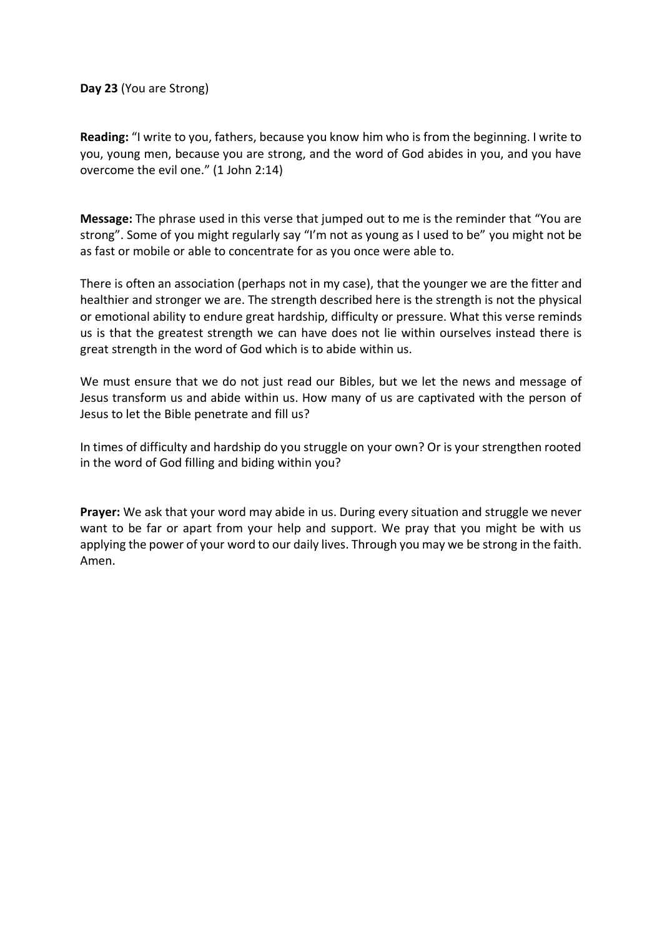**Day 23** (You are Strong)

**Reading:** "I write to you, fathers, because you know him who is from the beginning. I write to you, young men, because you are strong, and the word of God abides in you, and you have overcome the evil one." (1 John 2:14)

**Message:** The phrase used in this verse that jumped out to me is the reminder that "You are strong". Some of you might regularly say "I'm not as young as I used to be" you might not be as fast or mobile or able to concentrate for as you once were able to.

There is often an association (perhaps not in my case), that the younger we are the fitter and healthier and stronger we are. The strength described here is the strength is not the physical or emotional ability to endure great hardship, difficulty or pressure. What this verse reminds us is that the greatest strength we can have does not lie within ourselves instead there is great strength in the word of God which is to abide within us.

We must ensure that we do not just read our Bibles, but we let the news and message of Jesus transform us and abide within us. How many of us are captivated with the person of Jesus to let the Bible penetrate and fill us?

In times of difficulty and hardship do you struggle on your own? Or is your strengthen rooted in the word of God filling and biding within you?

**Prayer:** We ask that your word may abide in us. During every situation and struggle we never want to be far or apart from your help and support. We pray that you might be with us applying the power of your word to our daily lives. Through you may we be strong in the faith. Amen.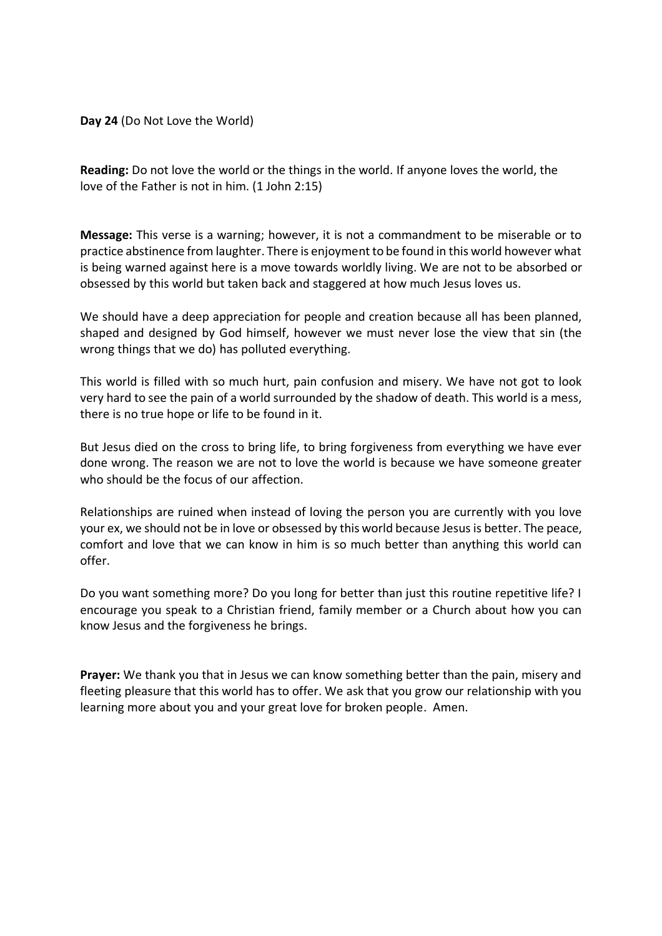**Day 24** (Do Not Love the World)

**Reading:** Do not love the world or the things in the world. If anyone loves the world, the love of the Father is not in him. (1 John 2:15)

**Message:** This verse is a warning; however, it is not a commandment to be miserable or to practice abstinence from laughter. There is enjoyment to be found in this world however what is being warned against here is a move towards worldly living. We are not to be absorbed or obsessed by this world but taken back and staggered at how much Jesus loves us.

We should have a deep appreciation for people and creation because all has been planned, shaped and designed by God himself, however we must never lose the view that sin (the wrong things that we do) has polluted everything.

This world is filled with so much hurt, pain confusion and misery. We have not got to look very hard to see the pain of a world surrounded by the shadow of death. This world is a mess, there is no true hope or life to be found in it.

But Jesus died on the cross to bring life, to bring forgiveness from everything we have ever done wrong. The reason we are not to love the world is because we have someone greater who should be the focus of our affection.

Relationships are ruined when instead of loving the person you are currently with you love your ex, we should not be in love or obsessed by this world because Jesus is better. The peace, comfort and love that we can know in him is so much better than anything this world can offer.

Do you want something more? Do you long for better than just this routine repetitive life? I encourage you speak to a Christian friend, family member or a Church about how you can know Jesus and the forgiveness he brings.

**Prayer:** We thank you that in Jesus we can know something better than the pain, misery and fleeting pleasure that this world has to offer. We ask that you grow our relationship with you learning more about you and your great love for broken people. Amen.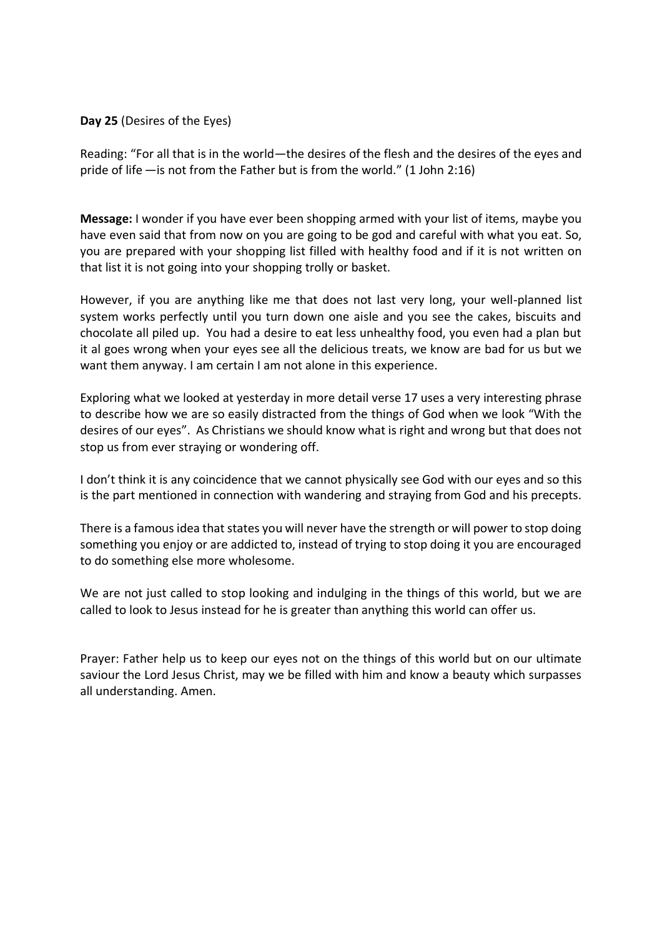**Day 25** (Desires of the Eyes)

Reading: "For all that is in the world—the desires of the flesh and the desires of the eyes and pride of life  $-$  is not from the Father but is from the world." (1 John 2:16)

**Message:** I wonder if you have ever been shopping armed with your list of items, maybe you have even said that from now on you are going to be god and careful with what you eat. So, you are prepared with your shopping list filled with healthy food and if it is not written on that list it is not going into your shopping trolly or basket.

However, if you are anything like me that does not last very long, your well-planned list system works perfectly until you turn down one aisle and you see the cakes, biscuits and chocolate all piled up. You had a desire to eat less unhealthy food, you even had a plan but it al goes wrong when your eyes see all the delicious treats, we know are bad for us but we want them anyway. I am certain I am not alone in this experience.

Exploring what we looked at yesterday in more detail verse 17 uses a very interesting phrase to describe how we are so easily distracted from the things of God when we look "With the desires of our eyes". As Christians we should know what is right and wrong but that does not stop us from ever straying or wondering off.

I don't think it is any coincidence that we cannot physically see God with our eyes and so this is the part mentioned in connection with wandering and straying from God and his precepts.

There is a famous idea that states you will never have the strength or will power to stop doing something you enjoy or are addicted to, instead of trying to stop doing it you are encouraged to do something else more wholesome.

We are not just called to stop looking and indulging in the things of this world, but we are called to look to Jesus instead for he is greater than anything this world can offer us.

Prayer: Father help us to keep our eyes not on the things of this world but on our ultimate saviour the Lord Jesus Christ, may we be filled with him and know a beauty which surpasses all understanding. Amen.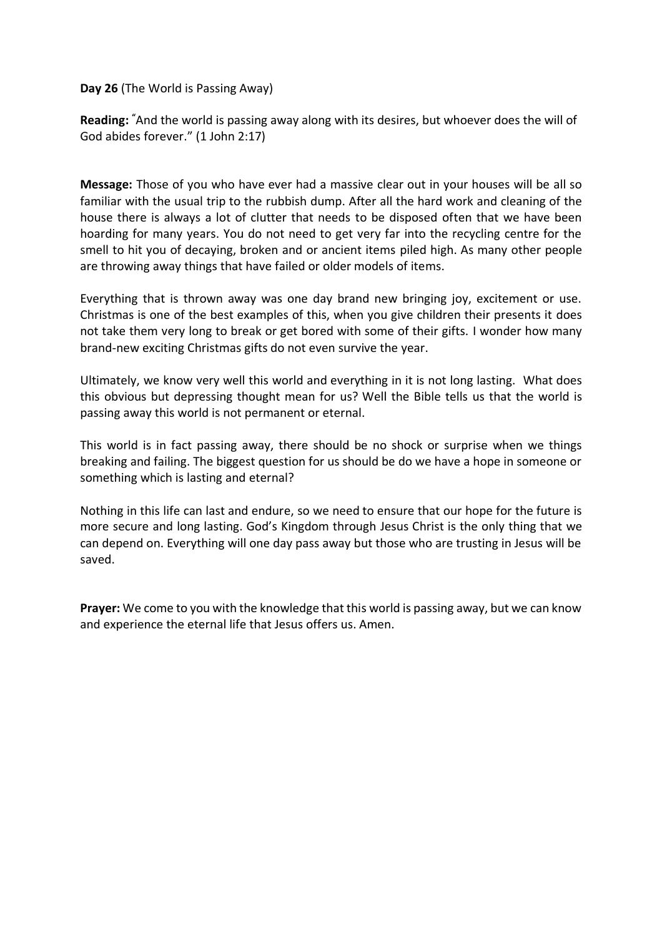**Day 26** (The World is Passing Away)

**Reading: "**And the world is passing away along with its desires, but whoever does the will of God abides forever." (1 John 2:17)

**Message:** Those of you who have ever had a massive clear out in your houses will be all so familiar with the usual trip to the rubbish dump. After all the hard work and cleaning of the house there is always a lot of clutter that needs to be disposed often that we have been hoarding for many years. You do not need to get very far into the recycling centre for the smell to hit you of decaying, broken and or ancient items piled high. As many other people are throwing away things that have failed or older models of items.

Everything that is thrown away was one day brand new bringing joy, excitement or use. Christmas is one of the best examples of this, when you give children their presents it does not take them very long to break or get bored with some of their gifts. I wonder how many brand-new exciting Christmas gifts do not even survive the year.

Ultimately, we know very well this world and everything in it is not long lasting. What does this obvious but depressing thought mean for us? Well the Bible tells us that the world is passing away this world is not permanent or eternal.

This world is in fact passing away, there should be no shock or surprise when we things breaking and failing. The biggest question for us should be do we have a hope in someone or something which is lasting and eternal?

Nothing in this life can last and endure, so we need to ensure that our hope for the future is more secure and long lasting. God's Kingdom through Jesus Christ is the only thing that we can depend on. Everything will one day pass away but those who are trusting in Jesus will be saved.

**Prayer:** We come to you with the knowledge that this world is passing away, but we can know and experience the eternal life that Jesus offers us. Amen.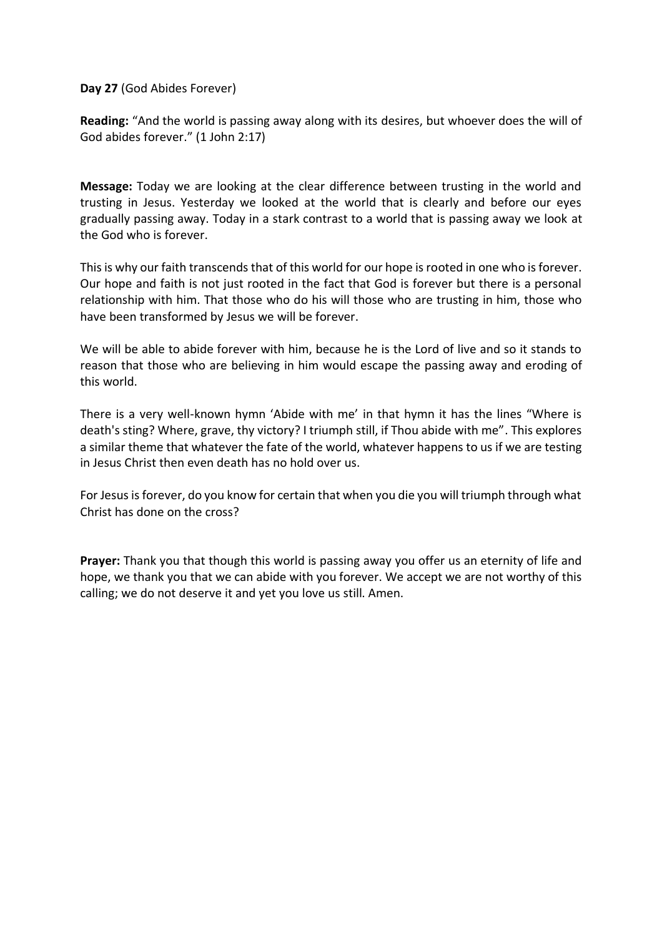**Day 27** (God Abides Forever)

**Reading:** "And the world is passing away along with its desires, but whoever does the will of God abides forever." (1 John 2:17)

**Message:** Today we are looking at the clear difference between trusting in the world and trusting in Jesus. Yesterday we looked at the world that is clearly and before our eyes gradually passing away. Today in a stark contrast to a world that is passing away we look at the God who is forever.

This is why our faith transcends that of this world for our hope is rooted in one who is forever. Our hope and faith is not just rooted in the fact that God is forever but there is a personal relationship with him. That those who do his will those who are trusting in him, those who have been transformed by Jesus we will be forever.

We will be able to abide forever with him, because he is the Lord of live and so it stands to reason that those who are believing in him would escape the passing away and eroding of this world.

There is a very well-known hymn 'Abide with me' in that hymn it has the lines "Where is death's sting? Where, grave, thy victory? I triumph still, if Thou abide with me". This explores a similar theme that whatever the fate of the world, whatever happens to us if we are testing in Jesus Christ then even death has no hold over us.

For Jesus is forever, do you know for certain that when you die you will triumph through what Christ has done on the cross?

**Prayer:** Thank you that though this world is passing away you offer us an eternity of life and hope, we thank you that we can abide with you forever. We accept we are not worthy of this calling; we do not deserve it and yet you love us still. Amen.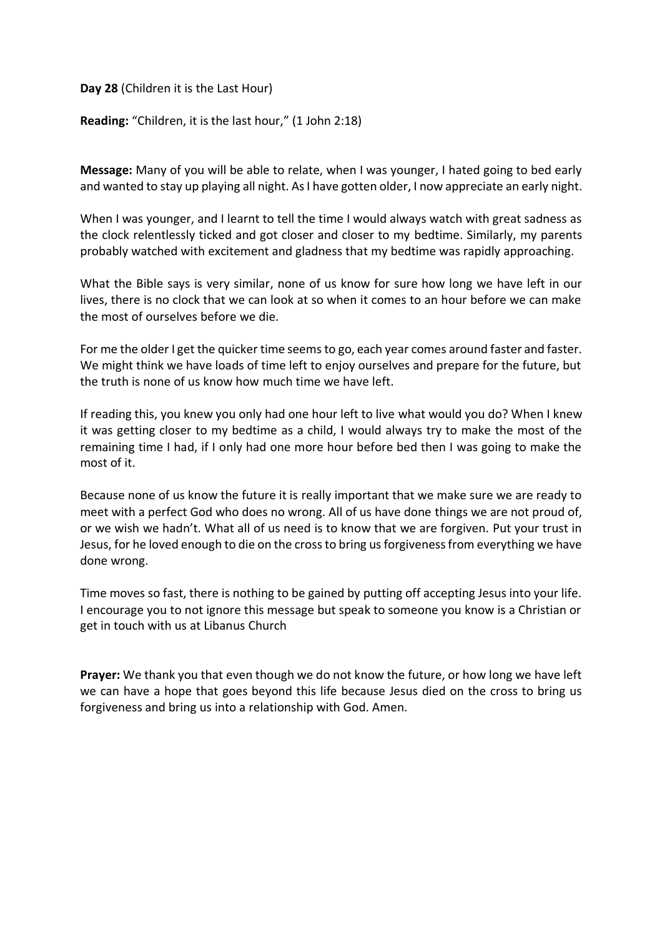**Day 28** (Children it is the Last Hour)

**Reading:** "Children, it is the last hour," (1 John 2:18)

**Message:** Many of you will be able to relate, when I was younger, I hated going to bed early and wanted to stay up playing all night. As I have gotten older, I now appreciate an early night.

When I was younger, and I learnt to tell the time I would always watch with great sadness as the clock relentlessly ticked and got closer and closer to my bedtime. Similarly, my parents probably watched with excitement and gladness that my bedtime was rapidly approaching.

What the Bible says is very similar, none of us know for sure how long we have left in our lives, there is no clock that we can look at so when it comes to an hour before we can make the most of ourselves before we die.

For me the older I get the quicker time seems to go, each year comes around faster and faster. We might think we have loads of time left to enjoy ourselves and prepare for the future, but the truth is none of us know how much time we have left.

If reading this, you knew you only had one hour left to live what would you do? When I knew it was getting closer to my bedtime as a child, I would always try to make the most of the remaining time I had, if I only had one more hour before bed then I was going to make the most of it.

Because none of us know the future it is really important that we make sure we are ready to meet with a perfect God who does no wrong. All of us have done things we are not proud of, or we wish we hadn't. What all of us need is to know that we are forgiven. Put your trust in Jesus, for he loved enough to die on the cross to bring us forgiveness from everything we have done wrong.

Time moves so fast, there is nothing to be gained by putting off accepting Jesus into your life. I encourage you to not ignore this message but speak to someone you know is a Christian or get in touch with us at Libanus Church

**Prayer:** We thank you that even though we do not know the future, or how long we have left we can have a hope that goes beyond this life because Jesus died on the cross to bring us forgiveness and bring us into a relationship with God. Amen.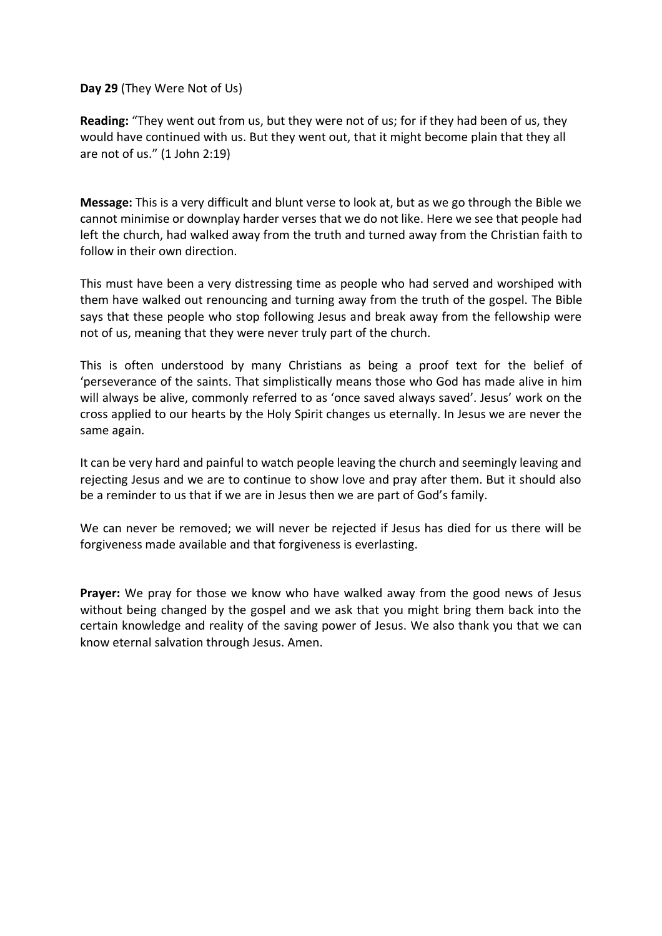## **Day 29** (They Were Not of Us)

**Reading:** "They went out from us, but they were not of us; for if they had been of us, they would have continued with us. But they went out, that it might become plain that they all are not of us." (1 John 2:19)

**Message:** This is a very difficult and blunt verse to look at, but as we go through the Bible we cannot minimise or downplay harder verses that we do not like. Here we see that people had left the church, had walked away from the truth and turned away from the Christian faith to follow in their own direction.

This must have been a very distressing time as people who had served and worshiped with them have walked out renouncing and turning away from the truth of the gospel. The Bible says that these people who stop following Jesus and break away from the fellowship were not of us, meaning that they were never truly part of the church.

This is often understood by many Christians as being a proof text for the belief of 'perseverance of the saints. That simplistically means those who God has made alive in him will always be alive, commonly referred to as 'once saved always saved'. Jesus' work on the cross applied to our hearts by the Holy Spirit changes us eternally. In Jesus we are never the same again.

It can be very hard and painful to watch people leaving the church and seemingly leaving and rejecting Jesus and we are to continue to show love and pray after them. But it should also be a reminder to us that if we are in Jesus then we are part of God's family.

We can never be removed; we will never be rejected if Jesus has died for us there will be forgiveness made available and that forgiveness is everlasting.

**Prayer:** We pray for those we know who have walked away from the good news of Jesus without being changed by the gospel and we ask that you might bring them back into the certain knowledge and reality of the saving power of Jesus. We also thank you that we can know eternal salvation through Jesus. Amen.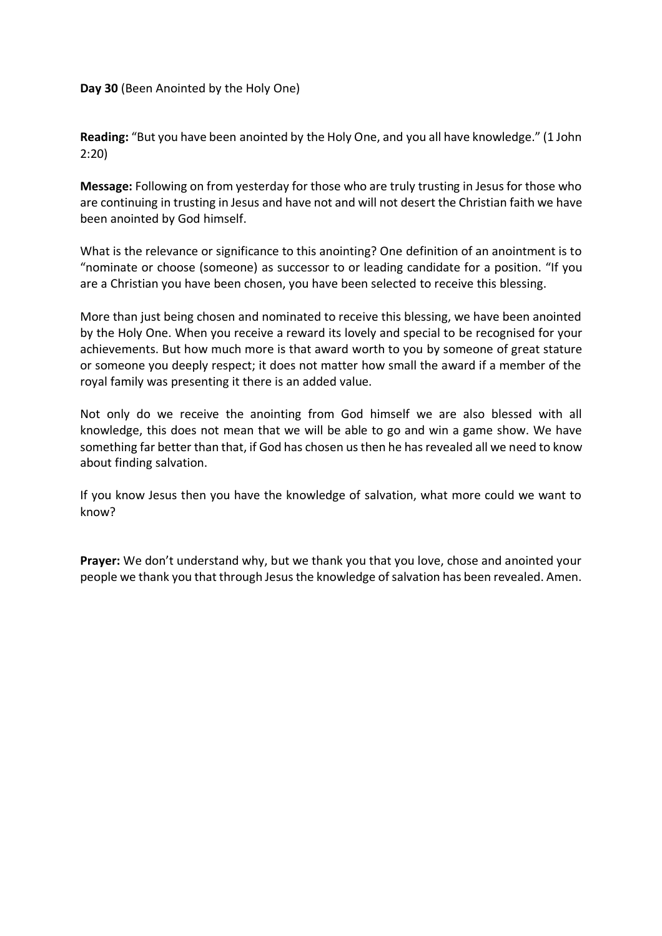## **Day 30** (Been Anointed by the Holy One)

**Reading:** "But you have been anointed by the Holy One, and you all have knowledge." (1 John 2:20)

**Message:** Following on from yesterday for those who are truly trusting in Jesus for those who are continuing in trusting in Jesus and have not and will not desert the Christian faith we have been anointed by God himself.

What is the relevance or significance to this anointing? One definition of an anointment is to "nominate or choose (someone) as successor to or leading candidate for a position. "If you are a Christian you have been chosen, you have been selected to receive this blessing.

More than just being chosen and nominated to receive this blessing, we have been anointed by the Holy One. When you receive a reward its lovely and special to be recognised for your achievements. But how much more is that award worth to you by someone of great stature or someone you deeply respect; it does not matter how small the award if a member of the royal family was presenting it there is an added value.

Not only do we receive the anointing from God himself we are also blessed with all knowledge, this does not mean that we will be able to go and win a game show. We have something far better than that, if God has chosen us then he has revealed all we need to know about finding salvation.

If you know Jesus then you have the knowledge of salvation, what more could we want to know?

**Prayer:** We don't understand why, but we thank you that you love, chose and anointed your people we thank you that through Jesus the knowledge of salvation has been revealed. Amen.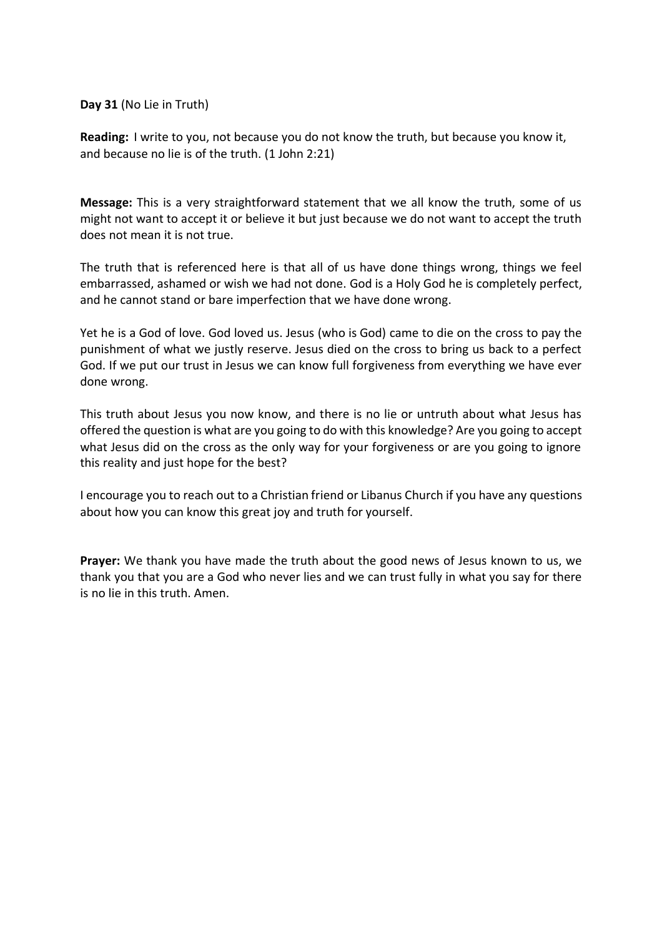**Day 31** (No Lie in Truth)

**Reading:** I write to you, not because you do not know the truth, but because you know it, and because no lie is of the truth. (1 John 2:21)

**Message:** This is a very straightforward statement that we all know the truth, some of us might not want to accept it or believe it but just because we do not want to accept the truth does not mean it is not true.

The truth that is referenced here is that all of us have done things wrong, things we feel embarrassed, ashamed or wish we had not done. God is a Holy God he is completely perfect, and he cannot stand or bare imperfection that we have done wrong.

Yet he is a God of love. God loved us. Jesus (who is God) came to die on the cross to pay the punishment of what we justly reserve. Jesus died on the cross to bring us back to a perfect God. If we put our trust in Jesus we can know full forgiveness from everything we have ever done wrong.

This truth about Jesus you now know, and there is no lie or untruth about what Jesus has offered the question is what are you going to do with this knowledge? Are you going to accept what Jesus did on the cross as the only way for your forgiveness or are you going to ignore this reality and just hope for the best?

I encourage you to reach out to a Christian friend or Libanus Church if you have any questions about how you can know this great joy and truth for yourself.

**Prayer:** We thank you have made the truth about the good news of Jesus known to us, we thank you that you are a God who never lies and we can trust fully in what you say for there is no lie in this truth. Amen.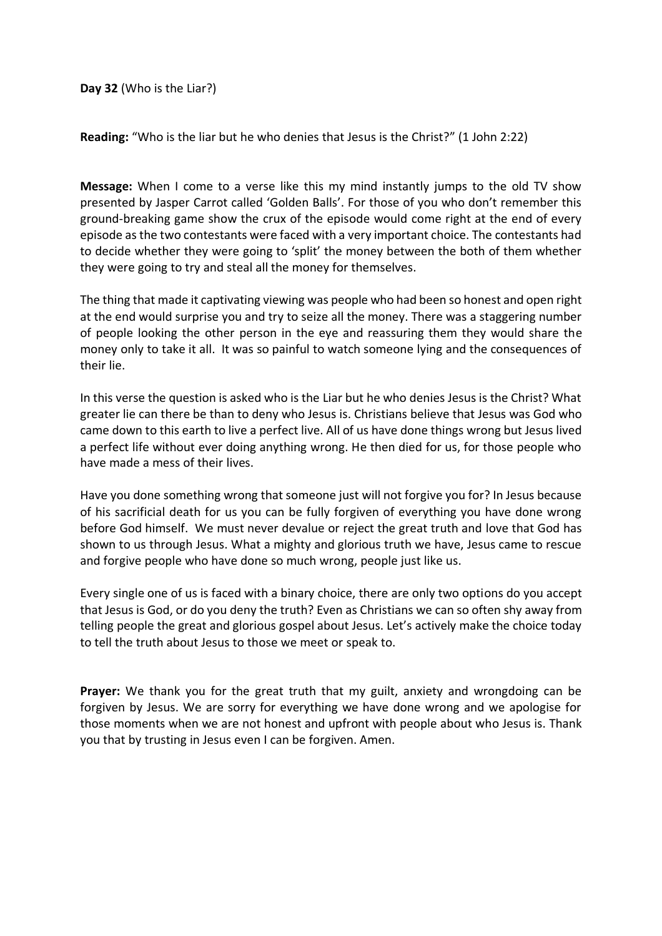**Day 32** (Who is the Liar?)

**Reading:** "Who is the liar but he who denies that Jesus is the Christ?" (1 John 2:22)

**Message:** When I come to a verse like this my mind instantly jumps to the old TV show presented by Jasper Carrot called 'Golden Balls'. For those of you who don't remember this ground-breaking game show the crux of the episode would come right at the end of every episode as the two contestants were faced with a very important choice. The contestants had to decide whether they were going to 'split' the money between the both of them whether they were going to try and steal all the money for themselves.

The thing that made it captivating viewing was people who had been so honest and open right at the end would surprise you and try to seize all the money. There was a staggering number of people looking the other person in the eye and reassuring them they would share the money only to take it all. It was so painful to watch someone lying and the consequences of their lie.

In this verse the question is asked who is the Liar but he who denies Jesus is the Christ? What greater lie can there be than to deny who Jesus is. Christians believe that Jesus was God who came down to this earth to live a perfect live. All of us have done things wrong but Jesus lived a perfect life without ever doing anything wrong. He then died for us, for those people who have made a mess of their lives.

Have you done something wrong that someone just will not forgive you for? In Jesus because of his sacrificial death for us you can be fully forgiven of everything you have done wrong before God himself. We must never devalue or reject the great truth and love that God has shown to us through Jesus. What a mighty and glorious truth we have, Jesus came to rescue and forgive people who have done so much wrong, people just like us.

Every single one of us is faced with a binary choice, there are only two options do you accept that Jesus is God, or do you deny the truth? Even as Christians we can so often shy away from telling people the great and glorious gospel about Jesus. Let's actively make the choice today to tell the truth about Jesus to those we meet or speak to.

**Prayer:** We thank you for the great truth that my guilt, anxiety and wrongdoing can be forgiven by Jesus. We are sorry for everything we have done wrong and we apologise for those moments when we are not honest and upfront with people about who Jesus is. Thank you that by trusting in Jesus even I can be forgiven. Amen.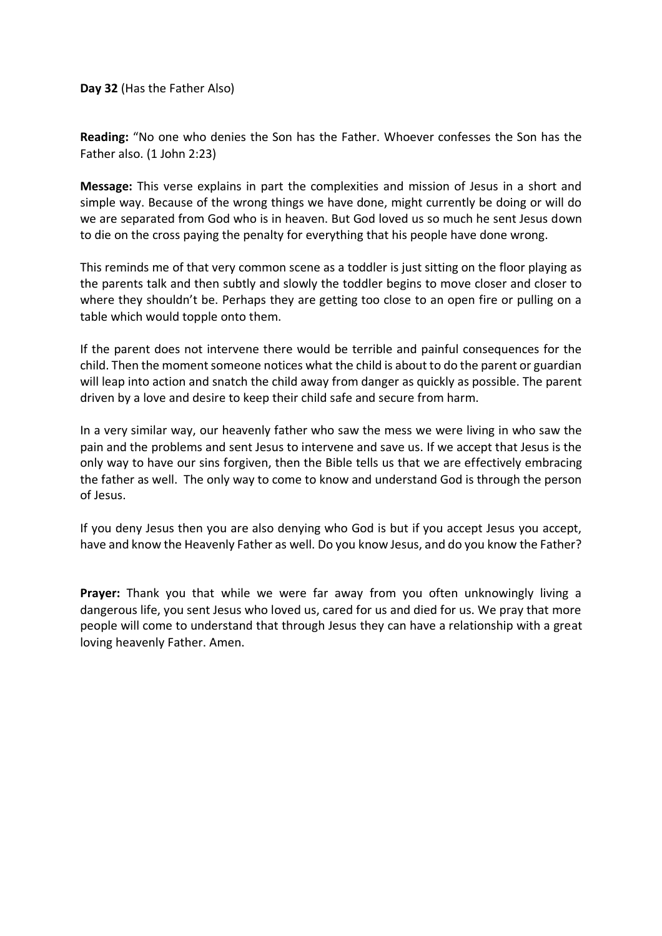**Day 32** (Has the Father Also)

**Reading:** "No one who denies the Son has the Father. Whoever confesses the Son has the Father also. (1 John 2:23)

**Message:** This verse explains in part the complexities and mission of Jesus in a short and simple way. Because of the wrong things we have done, might currently be doing or will do we are separated from God who is in heaven. But God loved us so much he sent Jesus down to die on the cross paying the penalty for everything that his people have done wrong.

This reminds me of that very common scene as a toddler is just sitting on the floor playing as the parents talk and then subtly and slowly the toddler begins to move closer and closer to where they shouldn't be. Perhaps they are getting too close to an open fire or pulling on a table which would topple onto them.

If the parent does not intervene there would be terrible and painful consequences for the child. Then the moment someone notices what the child is about to do the parent or guardian will leap into action and snatch the child away from danger as quickly as possible. The parent driven by a love and desire to keep their child safe and secure from harm.

In a very similar way, our heavenly father who saw the mess we were living in who saw the pain and the problems and sent Jesus to intervene and save us. If we accept that Jesus is the only way to have our sins forgiven, then the Bible tells us that we are effectively embracing the father as well. The only way to come to know and understand God is through the person of Jesus.

If you deny Jesus then you are also denying who God is but if you accept Jesus you accept, have and know the Heavenly Father as well. Do you know Jesus, and do you know the Father?

**Prayer:** Thank you that while we were far away from you often unknowingly living a dangerous life, you sent Jesus who loved us, cared for us and died for us. We pray that more people will come to understand that through Jesus they can have a relationship with a great loving heavenly Father. Amen.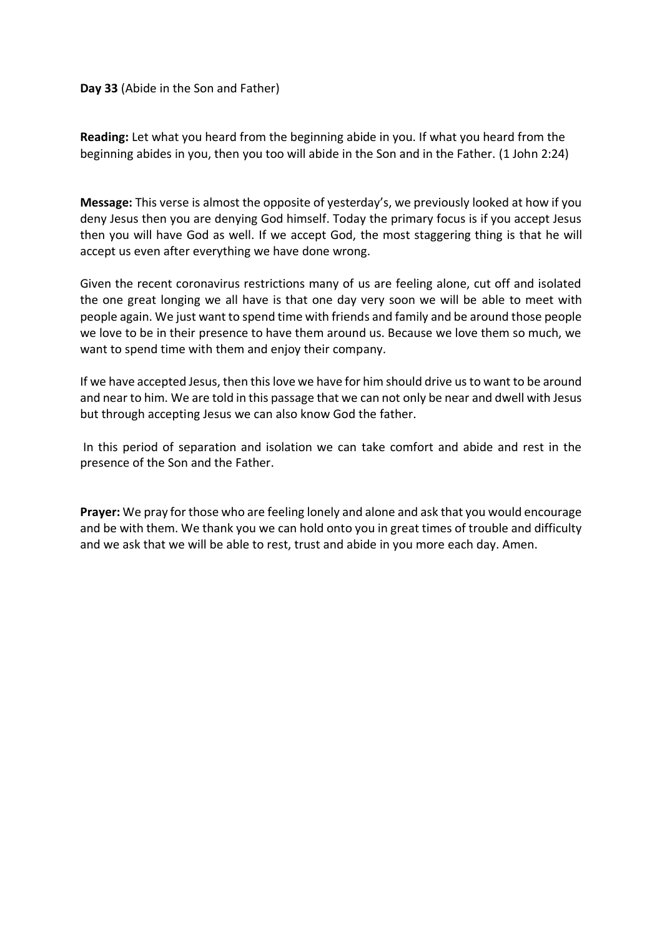## **Day 33** (Abide in the Son and Father)

**Reading:** Let what you heard from the beginning abide in you. If what you heard from the beginning abides in you, then you too will abide in the Son and in the Father. (1 John 2:24)

**Message:** This verse is almost the opposite of yesterday's, we previously looked at how if you deny Jesus then you are denying God himself. Today the primary focus is if you accept Jesus then you will have God as well. If we accept God, the most staggering thing is that he will accept us even after everything we have done wrong.

Given the recent coronavirus restrictions many of us are feeling alone, cut off and isolated the one great longing we all have is that one day very soon we will be able to meet with people again. We just want to spend time with friends and family and be around those people we love to be in their presence to have them around us. Because we love them so much, we want to spend time with them and enjoy their company.

If we have accepted Jesus, then this love we have for him should drive us to want to be around and near to him. We are told in this passage that we can not only be near and dwell with Jesus but through accepting Jesus we can also know God the father.

In this period of separation and isolation we can take comfort and abide and rest in the presence of the Son and the Father.

**Prayer:** We pray for those who are feeling lonely and alone and ask that you would encourage and be with them. We thank you we can hold onto you in great times of trouble and difficulty and we ask that we will be able to rest, trust and abide in you more each day. Amen.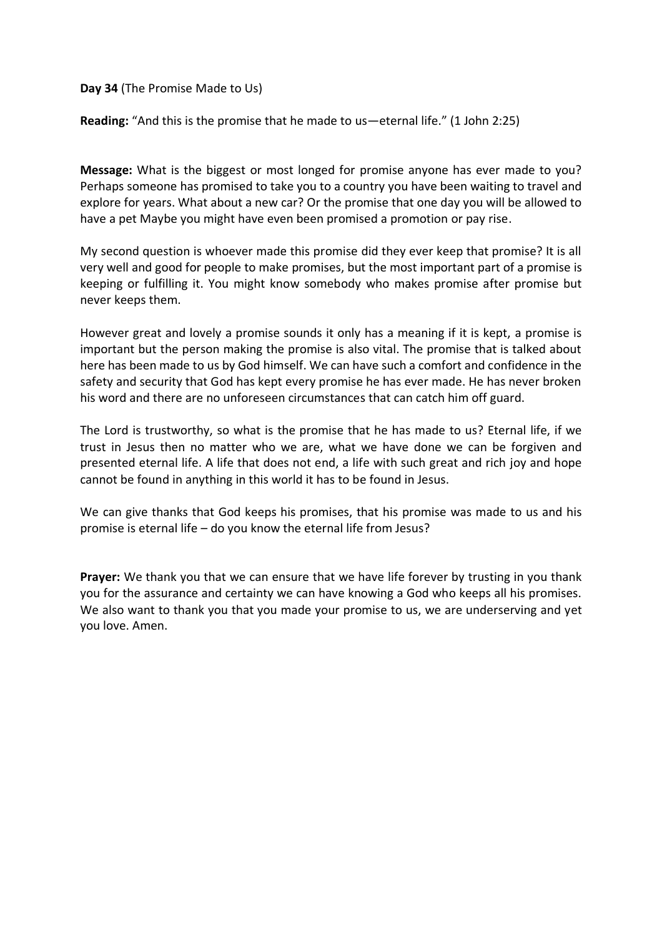**Day 34** (The Promise Made to Us)

**Reading:** "And this is the promise that he made to us—eternal life." (1 John 2:25)

**Message:** What is the biggest or most longed for promise anyone has ever made to you? Perhaps someone has promised to take you to a country you have been waiting to travel and explore for years. What about a new car? Or the promise that one day you will be allowed to have a pet Maybe you might have even been promised a promotion or pay rise.

My second question is whoever made this promise did they ever keep that promise? It is all very well and good for people to make promises, but the most important part of a promise is keeping or fulfilling it. You might know somebody who makes promise after promise but never keeps them.

However great and lovely a promise sounds it only has a meaning if it is kept, a promise is important but the person making the promise is also vital. The promise that is talked about here has been made to us by God himself. We can have such a comfort and confidence in the safety and security that God has kept every promise he has ever made. He has never broken his word and there are no unforeseen circumstances that can catch him off guard.

The Lord is trustworthy, so what is the promise that he has made to us? Eternal life, if we trust in Jesus then no matter who we are, what we have done we can be forgiven and presented eternal life. A life that does not end, a life with such great and rich joy and hope cannot be found in anything in this world it has to be found in Jesus.

We can give thanks that God keeps his promises, that his promise was made to us and his promise is eternal life – do you know the eternal life from Jesus?

**Prayer:** We thank you that we can ensure that we have life forever by trusting in you thank you for the assurance and certainty we can have knowing a God who keeps all his promises. We also want to thank you that you made your promise to us, we are underserving and yet you love. Amen.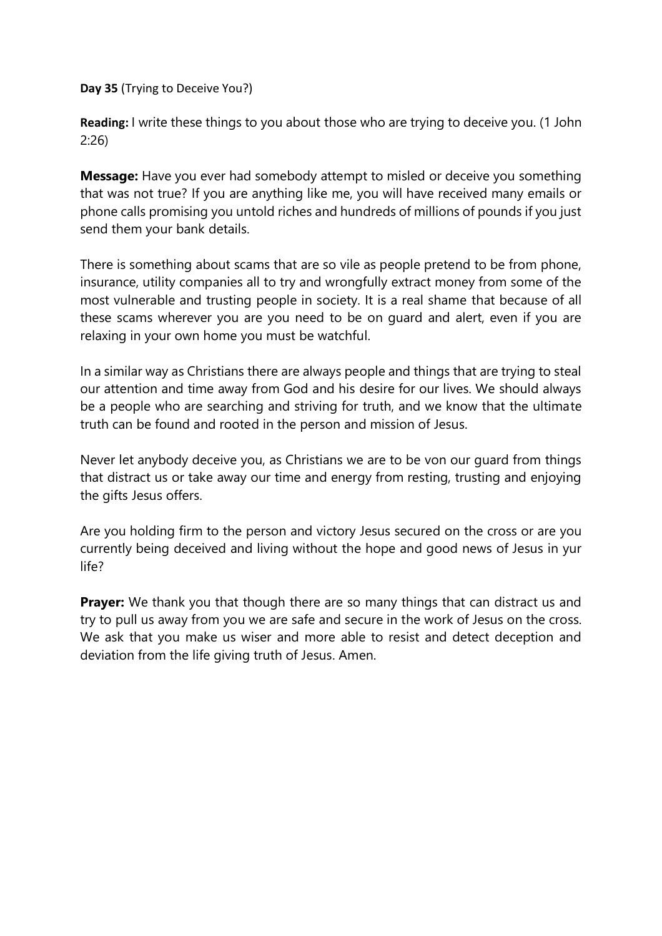**Day 35** (Trying to Deceive You?)

**Reading:** I write these things to you about those who are trying to deceive you. (1 John 2:26)

**Message:** Have you ever had somebody attempt to misled or deceive you something that was not true? If you are anything like me, you will have received many emails or phone calls promising you untold riches and hundreds of millions of pounds if you just send them your bank details.

There is something about scams that are so vile as people pretend to be from phone, insurance, utility companies all to try and wrongfully extract money from some of the most vulnerable and trusting people in society. It is a real shame that because of all these scams wherever you are you need to be on guard and alert, even if you are relaxing in your own home you must be watchful.

In a similar way as Christians there are always people and things that are trying to steal our attention and time away from God and his desire for our lives. We should always be a people who are searching and striving for truth, and we know that the ultimate truth can be found and rooted in the person and mission of Jesus.

Never let anybody deceive you, as Christians we are to be von our guard from things that distract us or take away our time and energy from resting, trusting and enjoying the gifts Jesus offers.

Are you holding firm to the person and victory Jesus secured on the cross or are you currently being deceived and living without the hope and good news of Jesus in yur life?

**Prayer:** We thank you that though there are so many things that can distract us and try to pull us away from you we are safe and secure in the work of Jesus on the cross. We ask that you make us wiser and more able to resist and detect deception and deviation from the life giving truth of Jesus. Amen.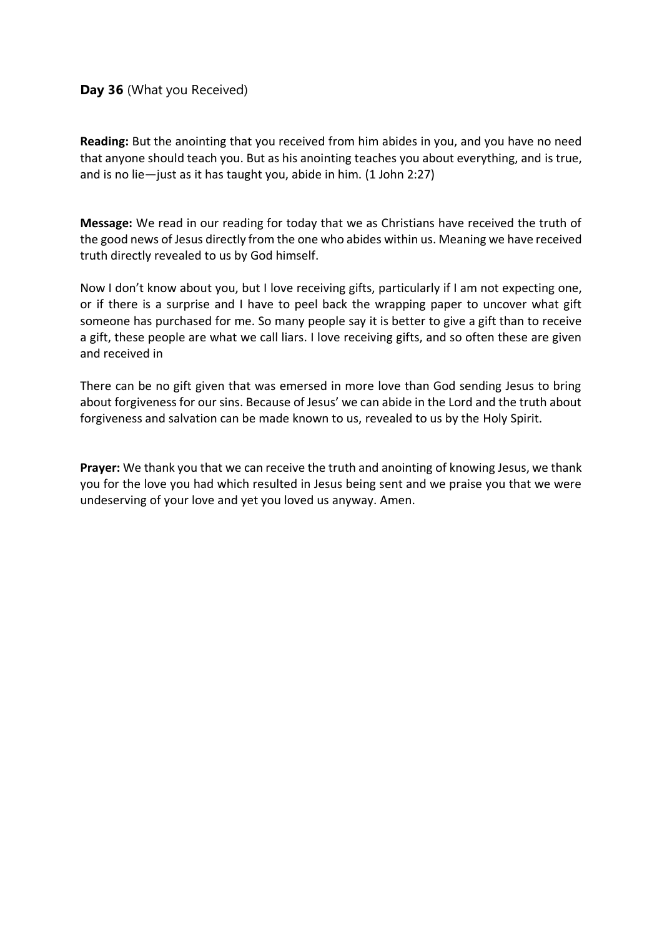# **Day 36** (What you Received)

**Reading:** But the anointing that you received from him abides in you, and you have no need that anyone should teach you. But as his anointing teaches you about everything, and is true, and is no lie—just as it has taught you, abide in him. (1 John 2:27)

**Message:** We read in our reading for today that we as Christians have received the truth of the good news of Jesus directly from the one who abides within us. Meaning we have received truth directly revealed to us by God himself.

Now I don't know about you, but I love receiving gifts, particularly if I am not expecting one, or if there is a surprise and I have to peel back the wrapping paper to uncover what gift someone has purchased for me. So many people say it is better to give a gift than to receive a gift, these people are what we call liars. I love receiving gifts, and so often these are given and received in

There can be no gift given that was emersed in more love than God sending Jesus to bring about forgiveness for our sins. Because of Jesus' we can abide in the Lord and the truth about forgiveness and salvation can be made known to us, revealed to us by the Holy Spirit.

**Prayer:** We thank you that we can receive the truth and anointing of knowing Jesus, we thank you for the love you had which resulted in Jesus being sent and we praise you that we were undeserving of your love and yet you loved us anyway. Amen.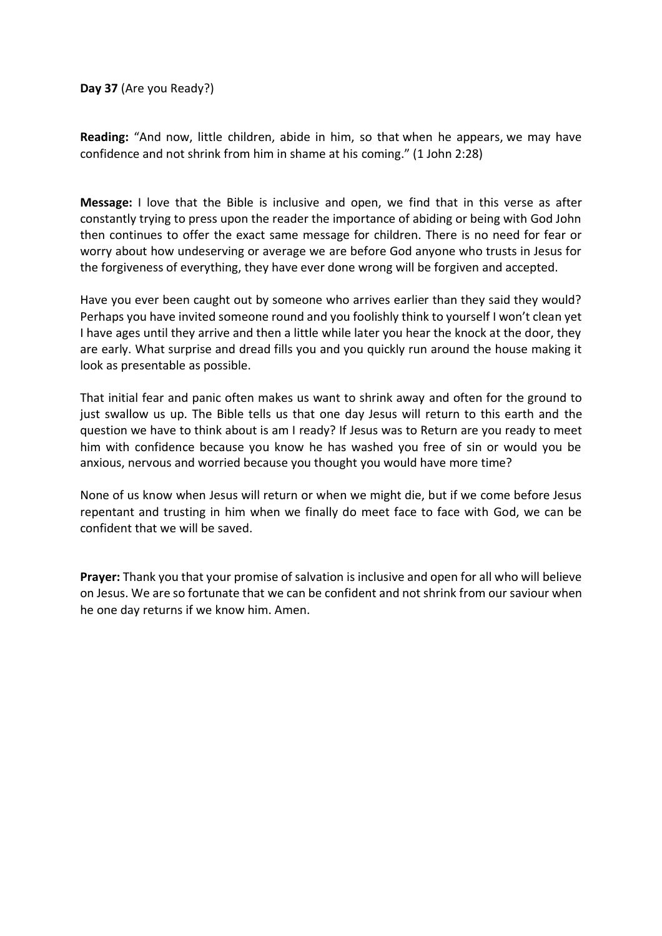**Day 37** (Are you Ready?)

**Reading:** "And now, little children, abide in him, so that when he appears, we may have confidence and not shrink from him in shame at his coming." (1 John 2:28)

**Message:** I love that the Bible is inclusive and open, we find that in this verse as after constantly trying to press upon the reader the importance of abiding or being with God John then continues to offer the exact same message for children. There is no need for fear or worry about how undeserving or average we are before God anyone who trusts in Jesus for the forgiveness of everything, they have ever done wrong will be forgiven and accepted.

Have you ever been caught out by someone who arrives earlier than they said they would? Perhaps you have invited someone round and you foolishly think to yourself I won't clean yet I have ages until they arrive and then a little while later you hear the knock at the door, they are early. What surprise and dread fills you and you quickly run around the house making it look as presentable as possible.

That initial fear and panic often makes us want to shrink away and often for the ground to just swallow us up. The Bible tells us that one day Jesus will return to this earth and the question we have to think about is am I ready? If Jesus was to Return are you ready to meet him with confidence because you know he has washed you free of sin or would you be anxious, nervous and worried because you thought you would have more time?

None of us know when Jesus will return or when we might die, but if we come before Jesus repentant and trusting in him when we finally do meet face to face with God, we can be confident that we will be saved.

**Prayer:** Thank you that your promise of salvation is inclusive and open for all who will believe on Jesus. We are so fortunate that we can be confident and not shrink from our saviour when he one day returns if we know him. Amen.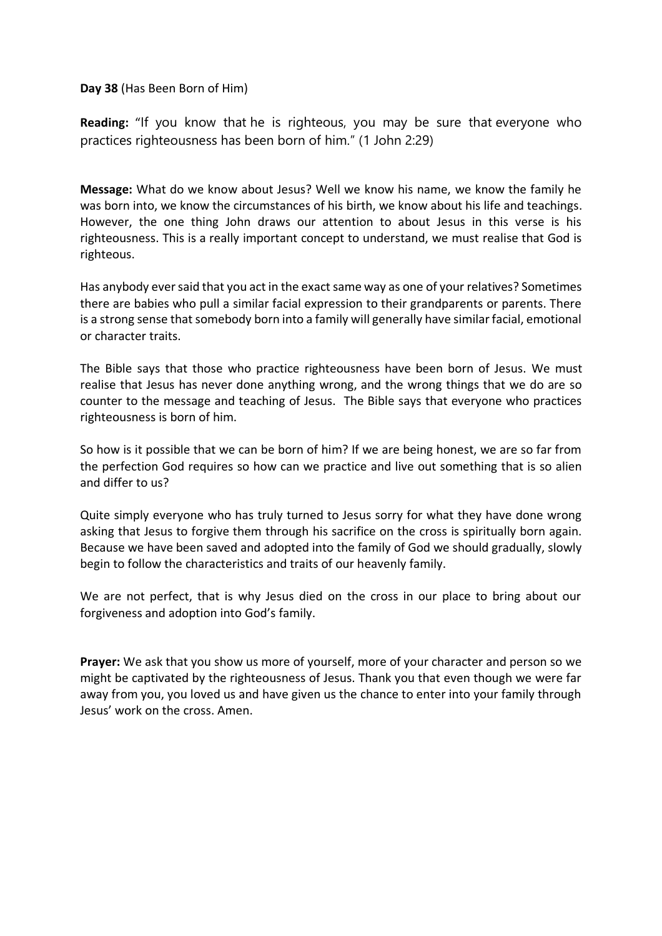**Day 38** (Has Been Born of Him)

**Reading:** "If you know that he is righteous, you may be sure that everyone who practices righteousness has been born of him." (1 John 2:29)

**Message:** What do we know about Jesus? Well we know his name, we know the family he was born into, we know the circumstances of his birth, we know about his life and teachings. However, the one thing John draws our attention to about Jesus in this verse is his righteousness. This is a really important concept to understand, we must realise that God is righteous.

Has anybody ever said that you act in the exact same way as one of your relatives? Sometimes there are babies who pull a similar facial expression to their grandparents or parents. There is a strong sense that somebody born into a family will generally have similar facial, emotional or character traits.

The Bible says that those who practice righteousness have been born of Jesus. We must realise that Jesus has never done anything wrong, and the wrong things that we do are so counter to the message and teaching of Jesus. The Bible says that everyone who practices righteousness is born of him.

So how is it possible that we can be born of him? If we are being honest, we are so far from the perfection God requires so how can we practice and live out something that is so alien and differ to us?

Quite simply everyone who has truly turned to Jesus sorry for what they have done wrong asking that Jesus to forgive them through his sacrifice on the cross is spiritually born again. Because we have been saved and adopted into the family of God we should gradually, slowly begin to follow the characteristics and traits of our heavenly family.

We are not perfect, that is why Jesus died on the cross in our place to bring about our forgiveness and adoption into God's family.

**Prayer:** We ask that you show us more of yourself, more of your character and person so we might be captivated by the righteousness of Jesus. Thank you that even though we were far away from you, you loved us and have given us the chance to enter into your family through Jesus' work on the cross. Amen.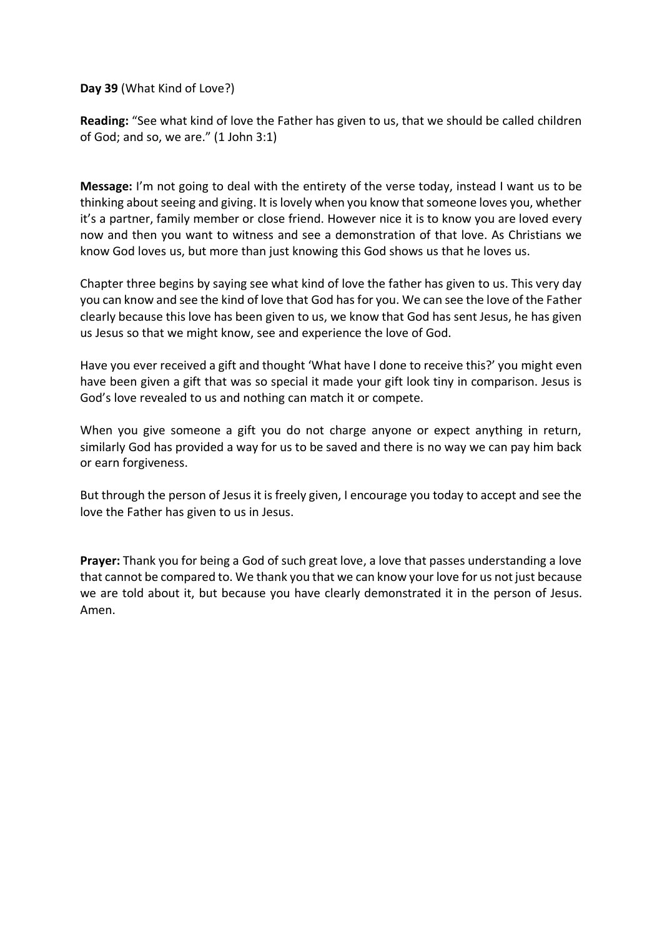**Day 39** (What Kind of Love?)

**Reading:** "See what kind of love the Father has given to us, that we should be called children of God; and so, we are." (1 John 3:1)

**Message:** I'm not going to deal with the entirety of the verse today, instead I want us to be thinking about seeing and giving. It is lovely when you know that someone loves you, whether it's a partner, family member or close friend. However nice it is to know you are loved every now and then you want to witness and see a demonstration of that love. As Christians we know God loves us, but more than just knowing this God shows us that he loves us.

Chapter three begins by saying see what kind of love the father has given to us. This very day you can know and see the kind of love that God has for you. We can see the love of the Father clearly because this love has been given to us, we know that God has sent Jesus, he has given us Jesus so that we might know, see and experience the love of God.

Have you ever received a gift and thought 'What have I done to receive this?' you might even have been given a gift that was so special it made your gift look tiny in comparison. Jesus is God's love revealed to us and nothing can match it or compete.

When you give someone a gift you do not charge anyone or expect anything in return, similarly God has provided a way for us to be saved and there is no way we can pay him back or earn forgiveness.

But through the person of Jesus it is freely given, I encourage you today to accept and see the love the Father has given to us in Jesus.

**Prayer:** Thank you for being a God of such great love, a love that passes understanding a love that cannot be compared to. We thank you that we can know your love for us not just because we are told about it, but because you have clearly demonstrated it in the person of Jesus. Amen.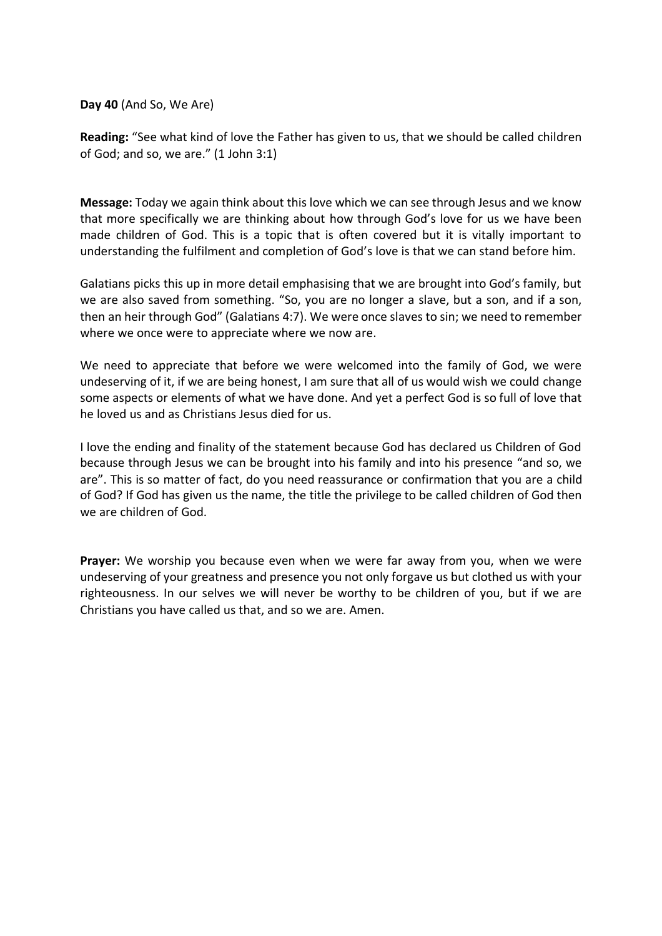**Day 40** (And So, We Are)

**Reading:** "See what kind of love the Father has given to us, that we should be called children of God; and so, we are." (1 John 3:1)

**Message:** Today we again think about this love which we can see through Jesus and we know that more specifically we are thinking about how through God's love for us we have been made children of God. This is a topic that is often covered but it is vitally important to understanding the fulfilment and completion of God's love is that we can stand before him.

Galatians picks this up in more detail emphasising that we are brought into God's family, but we are also saved from something. "So, you are no longer a slave, but a son, and if a son, then an heir through God" (Galatians 4:7). We were once slaves to sin; we need to remember where we once were to appreciate where we now are.

We need to appreciate that before we were welcomed into the family of God, we were undeserving of it, if we are being honest, I am sure that all of us would wish we could change some aspects or elements of what we have done. And yet a perfect God is so full of love that he loved us and as Christians Jesus died for us.

I love the ending and finality of the statement because God has declared us Children of God because through Jesus we can be brought into his family and into his presence "and so, we are". This is so matter of fact, do you need reassurance or confirmation that you are a child of God? If God has given us the name, the title the privilege to be called children of God then we are children of God.

**Prayer:** We worship you because even when we were far away from you, when we were undeserving of your greatness and presence you not only forgave us but clothed us with your righteousness. In our selves we will never be worthy to be children of you, but if we are Christians you have called us that, and so we are. Amen.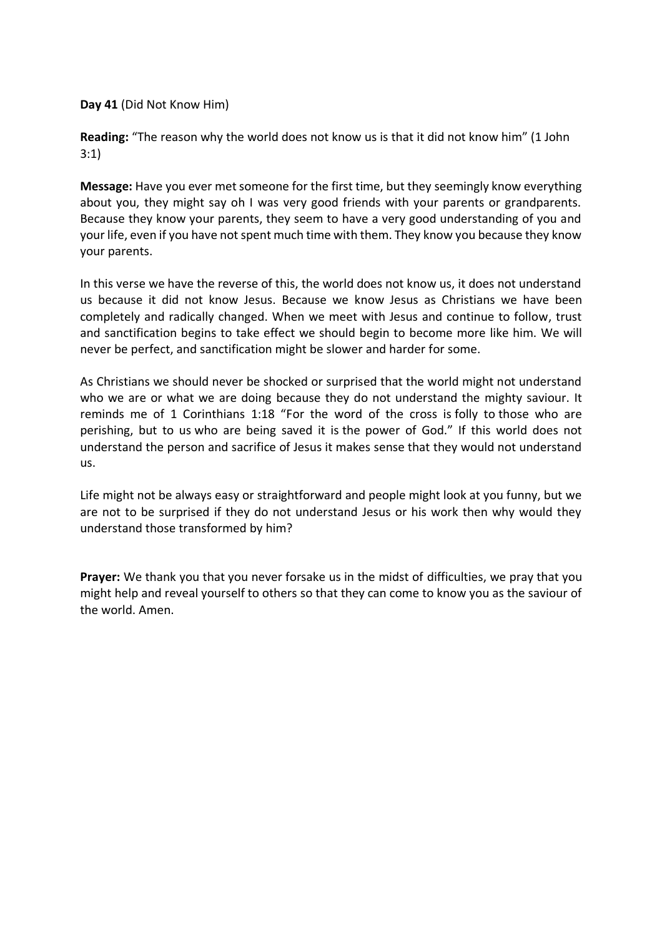**Day 41** (Did Not Know Him)

**Reading:** "The reason why the world does not know us is that it did not know him" (1 John 3:1)

**Message:** Have you ever met someone for the first time, but they seemingly know everything about you, they might say oh I was very good friends with your parents or grandparents. Because they know your parents, they seem to have a very good understanding of you and your life, even if you have not spent much time with them. They know you because they know your parents.

In this verse we have the reverse of this, the world does not know us, it does not understand us because it did not know Jesus. Because we know Jesus as Christians we have been completely and radically changed. When we meet with Jesus and continue to follow, trust and sanctification begins to take effect we should begin to become more like him. We will never be perfect, and sanctification might be slower and harder for some.

As Christians we should never be shocked or surprised that the world might not understand who we are or what we are doing because they do not understand the mighty saviour. It reminds me of 1 Corinthians 1:18 "For the word of the cross is folly to those who are perishing, but to us who are being saved it is the power of God." If this world does not understand the person and sacrifice of Jesus it makes sense that they would not understand us.

Life might not be always easy or straightforward and people might look at you funny, but we are not to be surprised if they do not understand Jesus or his work then why would they understand those transformed by him?

**Prayer:** We thank you that you never forsake us in the midst of difficulties, we pray that you might help and reveal yourself to others so that they can come to know you as the saviour of the world. Amen.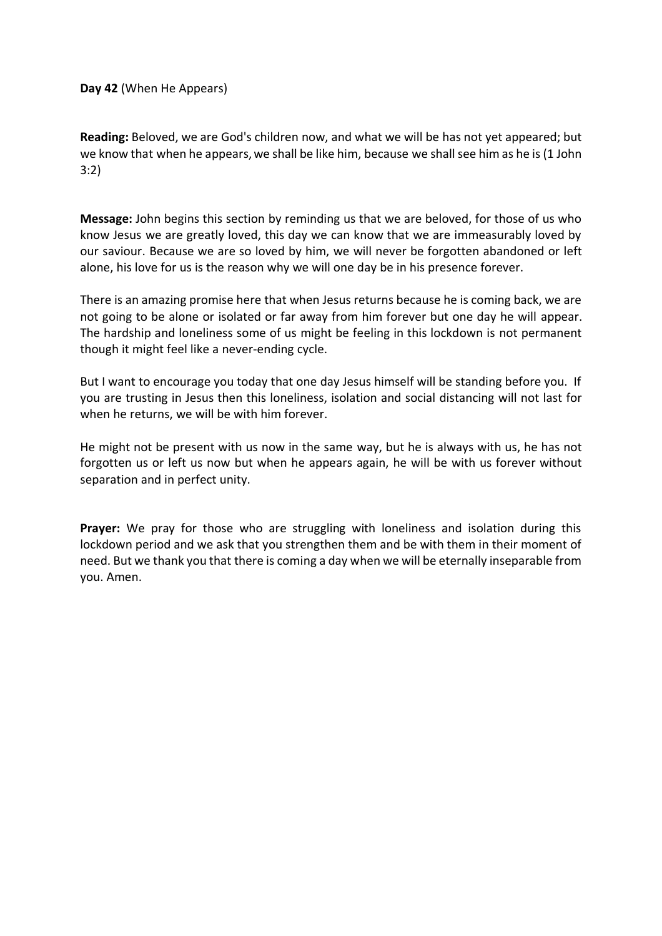**Day 42** (When He Appears)

**Reading:** Beloved, we are God's children now, and what we will be has not yet appeared; but we know that when he appears, we shall be like him, because we shall see him as he is (1 John 3:2)

**Message:** John begins this section by reminding us that we are beloved, for those of us who know Jesus we are greatly loved, this day we can know that we are immeasurably loved by our saviour. Because we are so loved by him, we will never be forgotten abandoned or left alone, his love for us is the reason why we will one day be in his presence forever.

There is an amazing promise here that when Jesus returns because he is coming back, we are not going to be alone or isolated or far away from him forever but one day he will appear. The hardship and loneliness some of us might be feeling in this lockdown is not permanent though it might feel like a never-ending cycle.

But I want to encourage you today that one day Jesus himself will be standing before you. If you are trusting in Jesus then this loneliness, isolation and social distancing will not last for when he returns, we will be with him forever.

He might not be present with us now in the same way, but he is always with us, he has not forgotten us or left us now but when he appears again, he will be with us forever without separation and in perfect unity.

**Prayer:** We pray for those who are struggling with loneliness and isolation during this lockdown period and we ask that you strengthen them and be with them in their moment of need. But we thank you that there is coming a day when we will be eternally inseparable from you. Amen.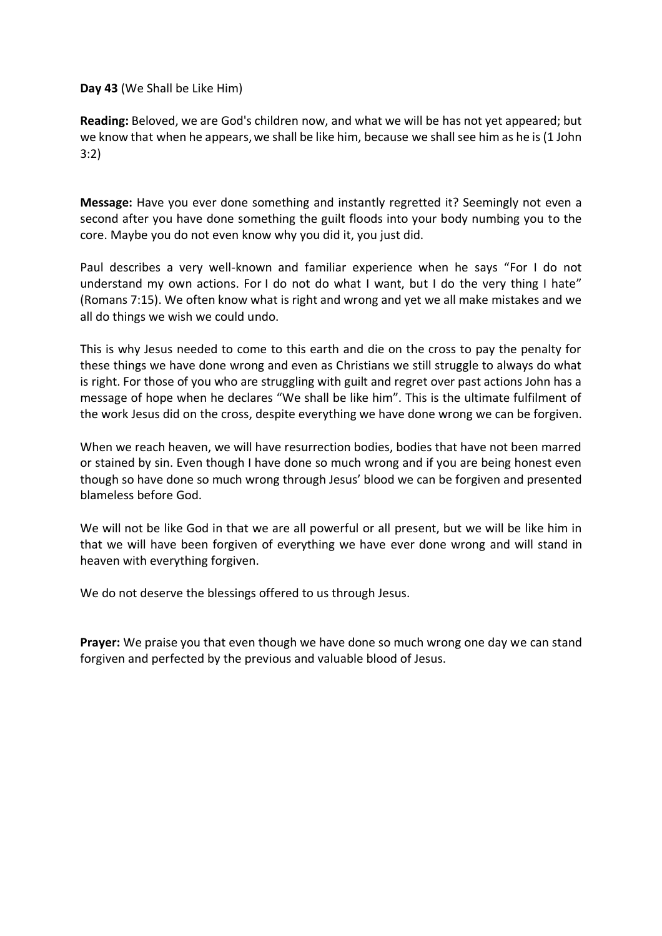#### **Day 43** (We Shall be Like Him)

**Reading:** Beloved, we are God's children now, and what we will be has not yet appeared; but we know that when he appears, we shall be like him, because we shall see him as he is (1 John 3:2)

**Message:** Have you ever done something and instantly regretted it? Seemingly not even a second after you have done something the guilt floods into your body numbing you to the core. Maybe you do not even know why you did it, you just did.

Paul describes a very well-known and familiar experience when he says "For I do not understand my own actions. For I do not do what I want, but I do the very thing I hate" (Romans 7:15). We often know what is right and wrong and yet we all make mistakes and we all do things we wish we could undo.

This is why Jesus needed to come to this earth and die on the cross to pay the penalty for these things we have done wrong and even as Christians we still struggle to always do what is right. For those of you who are struggling with guilt and regret over past actions John has a message of hope when he declares "We shall be like him". This is the ultimate fulfilment of the work Jesus did on the cross, despite everything we have done wrong we can be forgiven.

When we reach heaven, we will have resurrection bodies, bodies that have not been marred or stained by sin. Even though I have done so much wrong and if you are being honest even though so have done so much wrong through Jesus' blood we can be forgiven and presented blameless before God.

We will not be like God in that we are all powerful or all present, but we will be like him in that we will have been forgiven of everything we have ever done wrong and will stand in heaven with everything forgiven.

We do not deserve the blessings offered to us through Jesus.

**Prayer:** We praise you that even though we have done so much wrong one day we can stand forgiven and perfected by the previous and valuable blood of Jesus.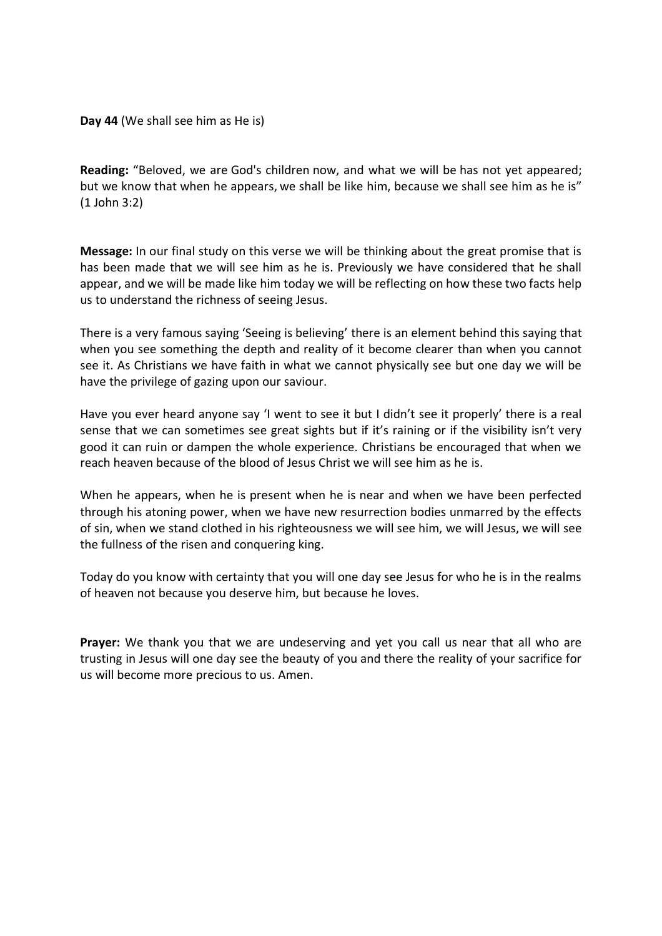**Reading:** "Beloved, we are God's children now, and what we will be has not yet appeared; but we know that when he appears, we shall be like him, because we shall see him as he is" (1 John 3:2)

**Message:** In our final study on this verse we will be thinking about the great promise that is has been made that we will see him as he is. Previously we have considered that he shall appear, and we will be made like him today we will be reflecting on how these two facts help us to understand the richness of seeing Jesus.

There is a very famous saying 'Seeing is believing' there is an element behind this saying that when you see something the depth and reality of it become clearer than when you cannot see it. As Christians we have faith in what we cannot physically see but one day we will be have the privilege of gazing upon our saviour.

Have you ever heard anyone say 'I went to see it but I didn't see it properly' there is a real sense that we can sometimes see great sights but if it's raining or if the visibility isn't very good it can ruin or dampen the whole experience. Christians be encouraged that when we reach heaven because of the blood of Jesus Christ we will see him as he is.

When he appears, when he is present when he is near and when we have been perfected through his atoning power, when we have new resurrection bodies unmarred by the effects of sin, when we stand clothed in his righteousness we will see him, we will Jesus, we will see the fullness of the risen and conquering king.

Today do you know with certainty that you will one day see Jesus for who he is in the realms of heaven not because you deserve him, but because he loves.

**Prayer:** We thank you that we are undeserving and yet you call us near that all who are trusting in Jesus will one day see the beauty of you and there the reality of your sacrifice for us will become more precious to us. Amen.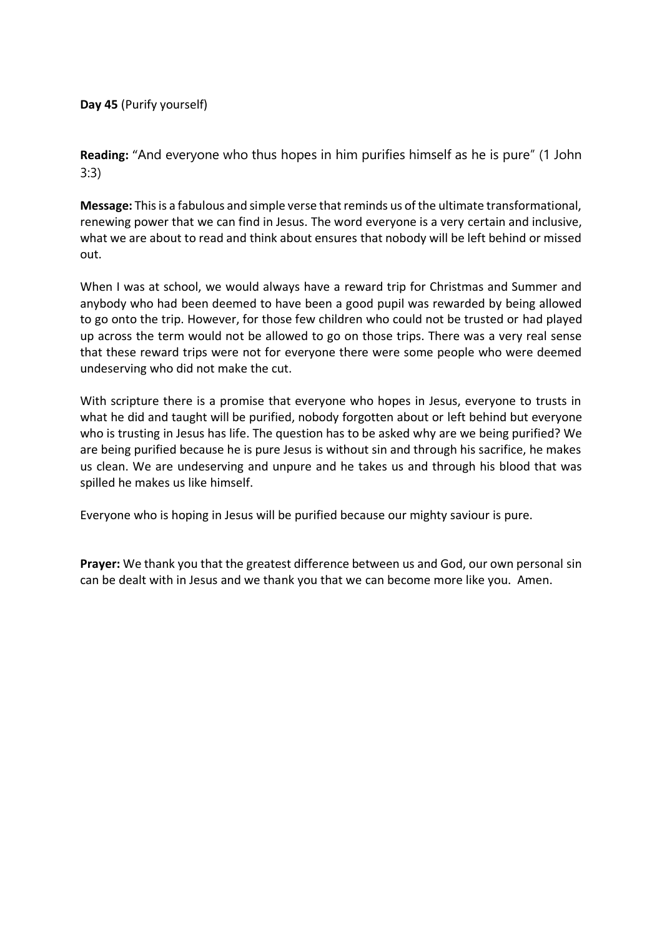**Day 45** (Purify yourself)

**Reading:** "And everyone who thus hopes in him purifies himself as he is pure" (1 John 3:3)

**Message:** This is a fabulous and simple verse that reminds us of the ultimate transformational, renewing power that we can find in Jesus. The word everyone is a very certain and inclusive, what we are about to read and think about ensures that nobody will be left behind or missed out.

When I was at school, we would always have a reward trip for Christmas and Summer and anybody who had been deemed to have been a good pupil was rewarded by being allowed to go onto the trip. However, for those few children who could not be trusted or had played up across the term would not be allowed to go on those trips. There was a very real sense that these reward trips were not for everyone there were some people who were deemed undeserving who did not make the cut.

With scripture there is a promise that everyone who hopes in Jesus, everyone to trusts in what he did and taught will be purified, nobody forgotten about or left behind but everyone who is trusting in Jesus has life. The question has to be asked why are we being purified? We are being purified because he is pure Jesus is without sin and through his sacrifice, he makes us clean. We are undeserving and unpure and he takes us and through his blood that was spilled he makes us like himself.

Everyone who is hoping in Jesus will be purified because our mighty saviour is pure.

**Prayer:** We thank you that the greatest difference between us and God, our own personal sin can be dealt with in Jesus and we thank you that we can become more like you. Amen.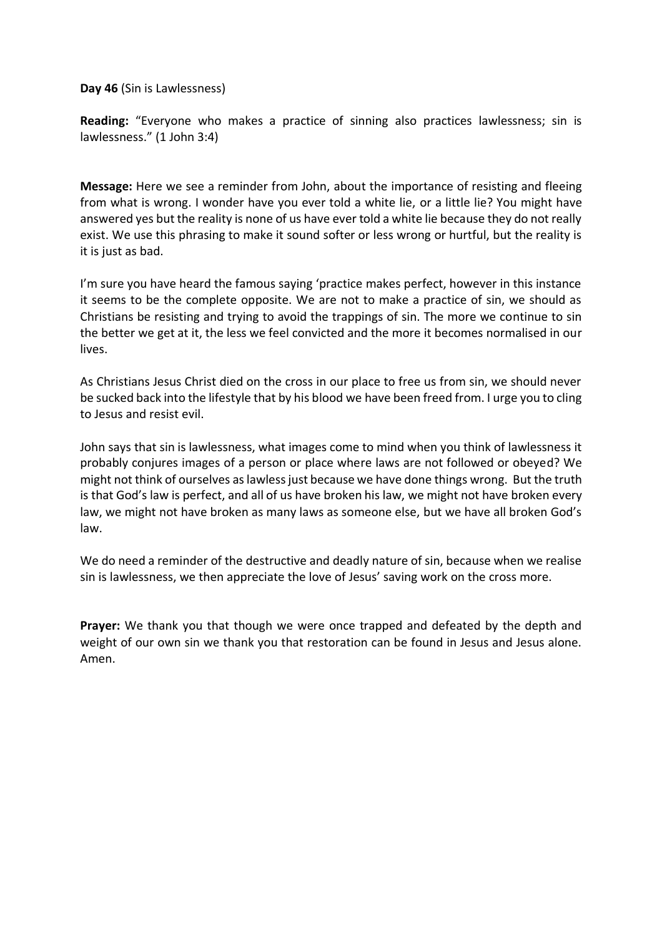**Day 46** (Sin is Lawlessness)

**Reading:** "Everyone who makes a practice of sinning also practices lawlessness; sin is lawlessness." (1 John 3:4)

**Message:** Here we see a reminder from John, about the importance of resisting and fleeing from what is wrong. I wonder have you ever told a white lie, or a little lie? You might have answered yes but the reality is none of us have ever told a white lie because they do not really exist. We use this phrasing to make it sound softer or less wrong or hurtful, but the reality is it is just as bad.

I'm sure you have heard the famous saying 'practice makes perfect, however in this instance it seems to be the complete opposite. We are not to make a practice of sin, we should as Christians be resisting and trying to avoid the trappings of sin. The more we continue to sin the better we get at it, the less we feel convicted and the more it becomes normalised in our lives.

As Christians Jesus Christ died on the cross in our place to free us from sin, we should never be sucked back into the lifestyle that by his blood we have been freed from. I urge you to cling to Jesus and resist evil.

John says that sin is lawlessness, what images come to mind when you think of lawlessness it probably conjures images of a person or place where laws are not followed or obeyed? We might not think of ourselves as lawless just because we have done things wrong. But the truth is that God's law is perfect, and all of us have broken his law, we might not have broken every law, we might not have broken as many laws as someone else, but we have all broken God's law.

We do need a reminder of the destructive and deadly nature of sin, because when we realise sin is lawlessness, we then appreciate the love of Jesus' saving work on the cross more.

**Prayer:** We thank you that though we were once trapped and defeated by the depth and weight of our own sin we thank you that restoration can be found in Jesus and Jesus alone. Amen.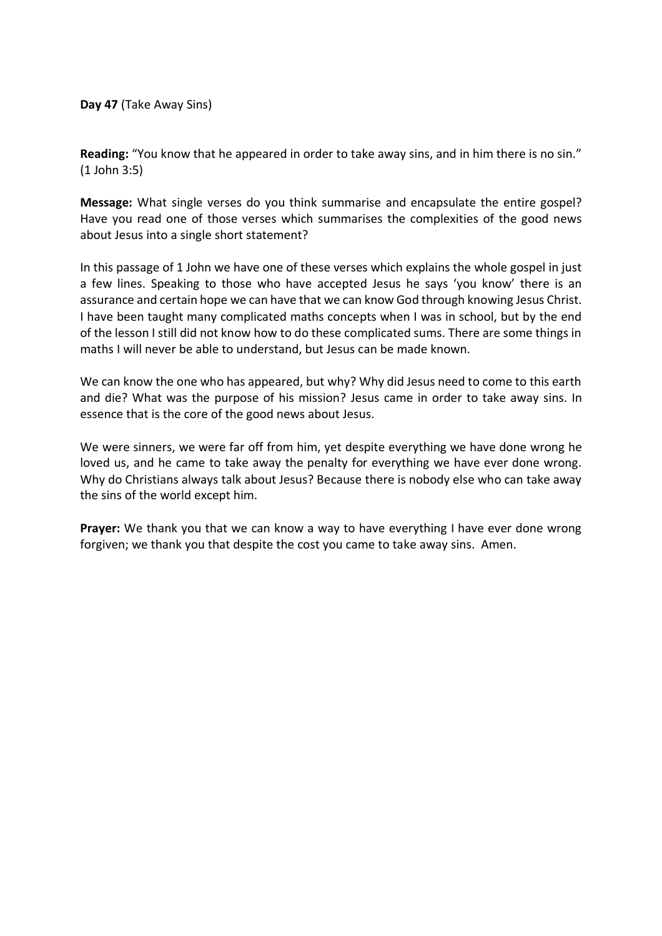**Day 47** (Take Away Sins)

**Reading:** "You know that he appeared in order to take away sins, and in him there is no sin." (1 John 3:5)

**Message:** What single verses do you think summarise and encapsulate the entire gospel? Have you read one of those verses which summarises the complexities of the good news about Jesus into a single short statement?

In this passage of 1 John we have one of these verses which explains the whole gospel in just a few lines. Speaking to those who have accepted Jesus he says 'you know' there is an assurance and certain hope we can have that we can know God through knowing Jesus Christ. I have been taught many complicated maths concepts when I was in school, but by the end of the lesson I still did not know how to do these complicated sums. There are some things in maths I will never be able to understand, but Jesus can be made known.

We can know the one who has appeared, but why? Why did Jesus need to come to this earth and die? What was the purpose of his mission? Jesus came in order to take away sins. In essence that is the core of the good news about Jesus.

We were sinners, we were far off from him, yet despite everything we have done wrong he loved us, and he came to take away the penalty for everything we have ever done wrong. Why do Christians always talk about Jesus? Because there is nobody else who can take away the sins of the world except him.

**Prayer:** We thank you that we can know a way to have everything I have ever done wrong forgiven; we thank you that despite the cost you came to take away sins. Amen.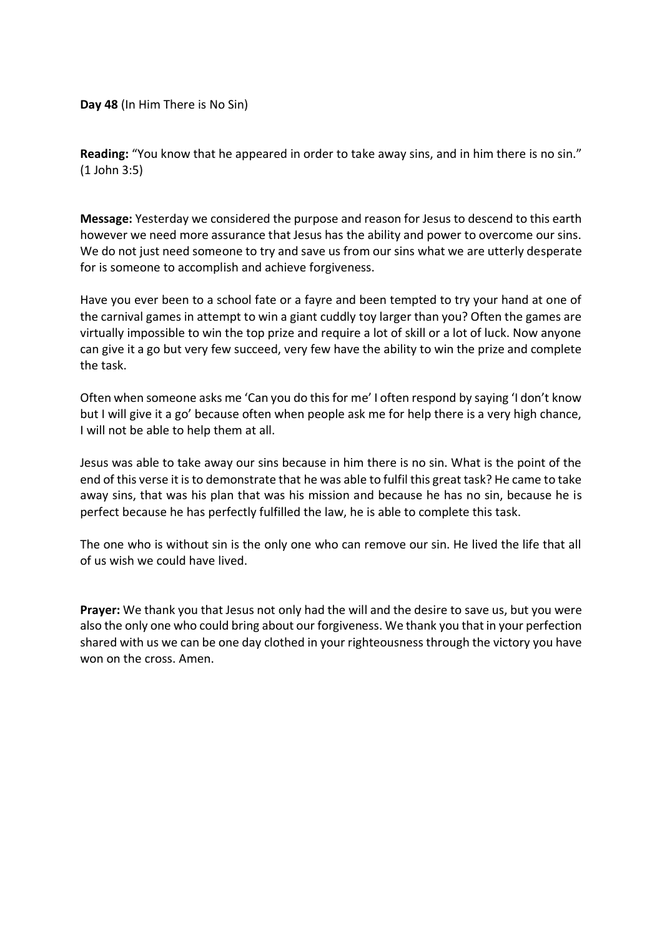**Day 48** (In Him There is No Sin)

**Reading:** "You know that he appeared in order to take away sins, and in him there is no sin." (1 John 3:5)

**Message:** Yesterday we considered the purpose and reason for Jesus to descend to this earth however we need more assurance that Jesus has the ability and power to overcome our sins. We do not just need someone to try and save us from our sins what we are utterly desperate for is someone to accomplish and achieve forgiveness.

Have you ever been to a school fate or a fayre and been tempted to try your hand at one of the carnival games in attempt to win a giant cuddly toy larger than you? Often the games are virtually impossible to win the top prize and require a lot of skill or a lot of luck. Now anyone can give it a go but very few succeed, very few have the ability to win the prize and complete the task.

Often when someone asks me 'Can you do this for me' I often respond by saying 'I don't know but I will give it a go' because often when people ask me for help there is a very high chance, I will not be able to help them at all.

Jesus was able to take away our sins because in him there is no sin. What is the point of the end of this verse it is to demonstrate that he was able to fulfil this great task? He came to take away sins, that was his plan that was his mission and because he has no sin, because he is perfect because he has perfectly fulfilled the law, he is able to complete this task.

The one who is without sin is the only one who can remove our sin. He lived the life that all of us wish we could have lived.

**Prayer:** We thank you that Jesus not only had the will and the desire to save us, but you were also the only one who could bring about our forgiveness. We thank you that in your perfection shared with us we can be one day clothed in your righteousness through the victory you have won on the cross. Amen.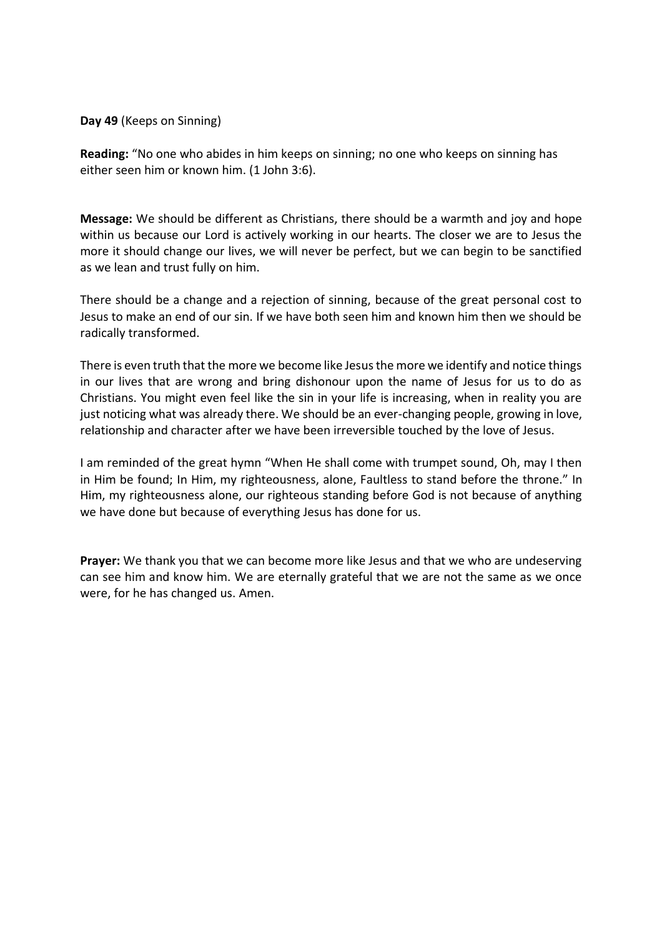**Day 49** (Keeps on Sinning)

**Reading:** "No one who abides in him keeps on sinning; no one who keeps on sinning has either seen him or known him. (1 John 3:6).

**Message:** We should be different as Christians, there should be a warmth and joy and hope within us because our Lord is actively working in our hearts. The closer we are to Jesus the more it should change our lives, we will never be perfect, but we can begin to be sanctified as we lean and trust fully on him.

There should be a change and a rejection of sinning, because of the great personal cost to Jesus to make an end of our sin. If we have both seen him and known him then we should be radically transformed.

There is even truth that the more we become like Jesus the more we identify and notice things in our lives that are wrong and bring dishonour upon the name of Jesus for us to do as Christians. You might even feel like the sin in your life is increasing, when in reality you are just noticing what was already there. We should be an ever-changing people, growing in love, relationship and character after we have been irreversible touched by the love of Jesus.

I am reminded of the great hymn "When He shall come with trumpet sound, Oh, may I then in Him be found; In Him, my righteousness, alone, Faultless to stand before the throne." In Him, my righteousness alone, our righteous standing before God is not because of anything we have done but because of everything Jesus has done for us.

**Prayer:** We thank you that we can become more like Jesus and that we who are undeserving can see him and know him. We are eternally grateful that we are not the same as we once were, for he has changed us. Amen.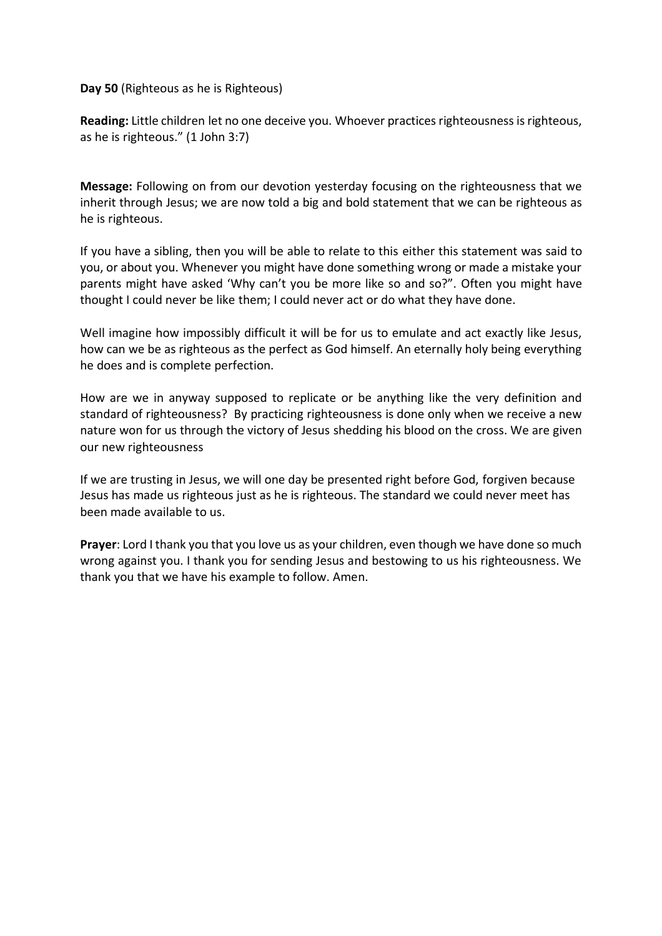**Day 50** (Righteous as he is Righteous)

**Reading:** Little children let no one deceive you. Whoever practices righteousness is righteous, as he is righteous." (1 John 3:7)

**Message:** Following on from our devotion yesterday focusing on the righteousness that we inherit through Jesus; we are now told a big and bold statement that we can be righteous as he is righteous.

If you have a sibling, then you will be able to relate to this either this statement was said to you, or about you. Whenever you might have done something wrong or made a mistake your parents might have asked 'Why can't you be more like so and so?". Often you might have thought I could never be like them; I could never act or do what they have done.

Well imagine how impossibly difficult it will be for us to emulate and act exactly like Jesus, how can we be as righteous as the perfect as God himself. An eternally holy being everything he does and is complete perfection.

How are we in anyway supposed to replicate or be anything like the very definition and standard of righteousness? By practicing righteousness is done only when we receive a new nature won for us through the victory of Jesus shedding his blood on the cross. We are given our new righteousness

If we are trusting in Jesus, we will one day be presented right before God, forgiven because Jesus has made us righteous just as he is righteous. The standard we could never meet has been made available to us.

**Prayer**: Lord I thank you that you love us as your children, even though we have done so much wrong against you. I thank you for sending Jesus and bestowing to us his righteousness. We thank you that we have his example to follow. Amen.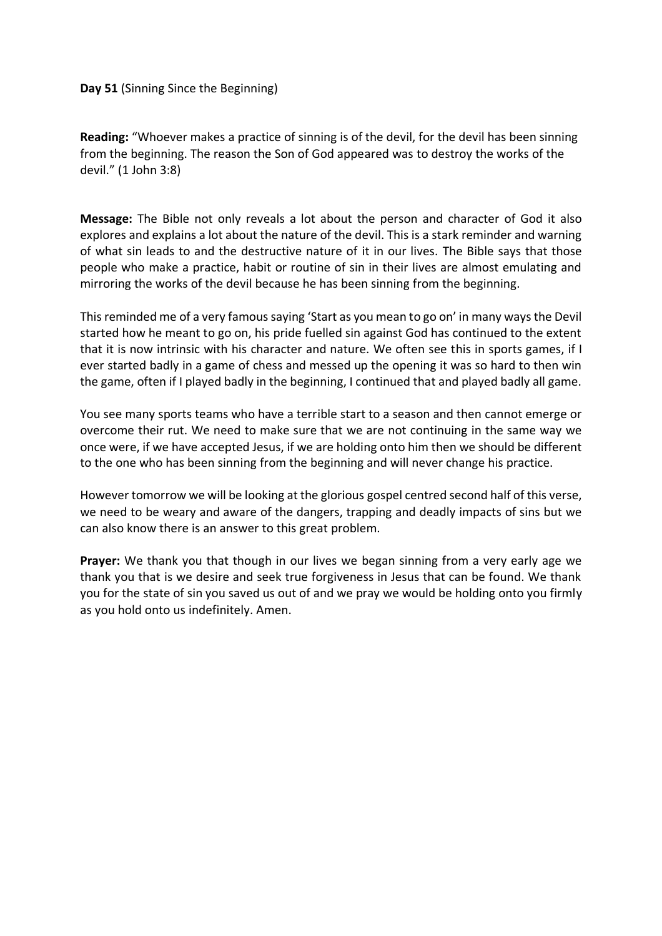## **Day 51** (Sinning Since the Beginning)

**Reading:** "Whoever makes a practice of sinning is of the devil, for the devil has been sinning from the beginning. The reason the Son of God appeared was to destroy the works of the devil." (1 John 3:8)

**Message:** The Bible not only reveals a lot about the person and character of God it also explores and explains a lot about the nature of the devil. This is a stark reminder and warning of what sin leads to and the destructive nature of it in our lives. The Bible says that those people who make a practice, habit or routine of sin in their lives are almost emulating and mirroring the works of the devil because he has been sinning from the beginning.

This reminded me of a very famous saying 'Start as you mean to go on' in many ways the Devil started how he meant to go on, his pride fuelled sin against God has continued to the extent that it is now intrinsic with his character and nature. We often see this in sports games, if I ever started badly in a game of chess and messed up the opening it was so hard to then win the game, often if I played badly in the beginning, I continued that and played badly all game.

You see many sports teams who have a terrible start to a season and then cannot emerge or overcome their rut. We need to make sure that we are not continuing in the same way we once were, if we have accepted Jesus, if we are holding onto him then we should be different to the one who has been sinning from the beginning and will never change his practice.

However tomorrow we will be looking at the glorious gospel centred second half of this verse, we need to be weary and aware of the dangers, trapping and deadly impacts of sins but we can also know there is an answer to this great problem.

**Prayer:** We thank you that though in our lives we began sinning from a very early age we thank you that is we desire and seek true forgiveness in Jesus that can be found. We thank you for the state of sin you saved us out of and we pray we would be holding onto you firmly as you hold onto us indefinitely. Amen.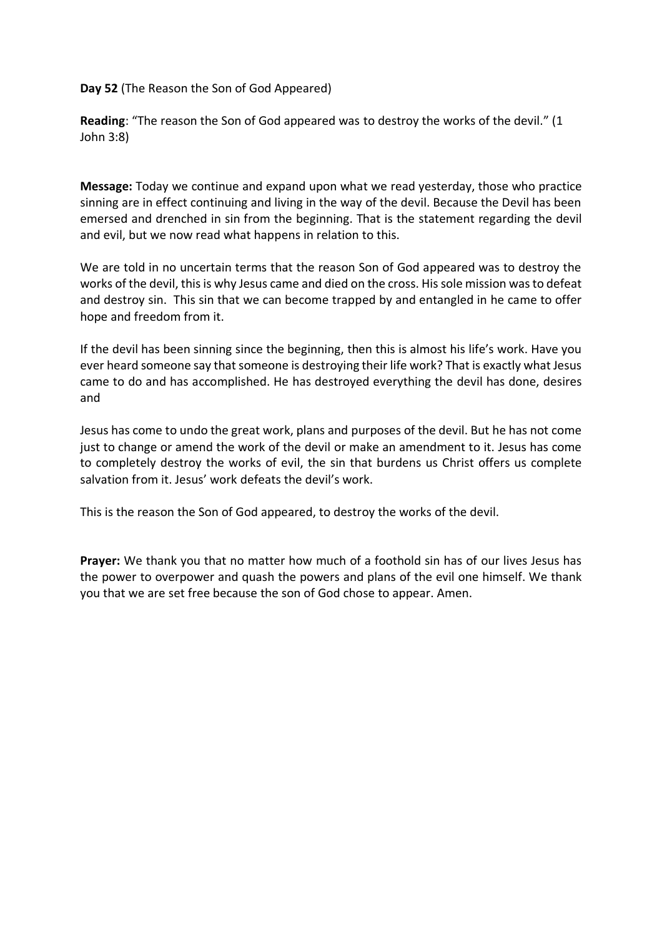**Day 52** (The Reason the Son of God Appeared)

**Reading**: "The reason the Son of God appeared was to destroy the works of the devil." (1 John 3:8)

**Message:** Today we continue and expand upon what we read yesterday, those who practice sinning are in effect continuing and living in the way of the devil. Because the Devil has been emersed and drenched in sin from the beginning. That is the statement regarding the devil and evil, but we now read what happens in relation to this.

We are told in no uncertain terms that the reason Son of God appeared was to destroy the works of the devil, this is why Jesus came and died on the cross. His sole mission was to defeat and destroy sin. This sin that we can become trapped by and entangled in he came to offer hope and freedom from it.

If the devil has been sinning since the beginning, then this is almost his life's work. Have you ever heard someone say that someone is destroying their life work? That is exactly what Jesus came to do and has accomplished. He has destroyed everything the devil has done, desires and

Jesus has come to undo the great work, plans and purposes of the devil. But he has not come just to change or amend the work of the devil or make an amendment to it. Jesus has come to completely destroy the works of evil, the sin that burdens us Christ offers us complete salvation from it. Jesus' work defeats the devil's work.

This is the reason the Son of God appeared, to destroy the works of the devil.

**Prayer:** We thank you that no matter how much of a foothold sin has of our lives Jesus has the power to overpower and quash the powers and plans of the evil one himself. We thank you that we are set free because the son of God chose to appear. Amen.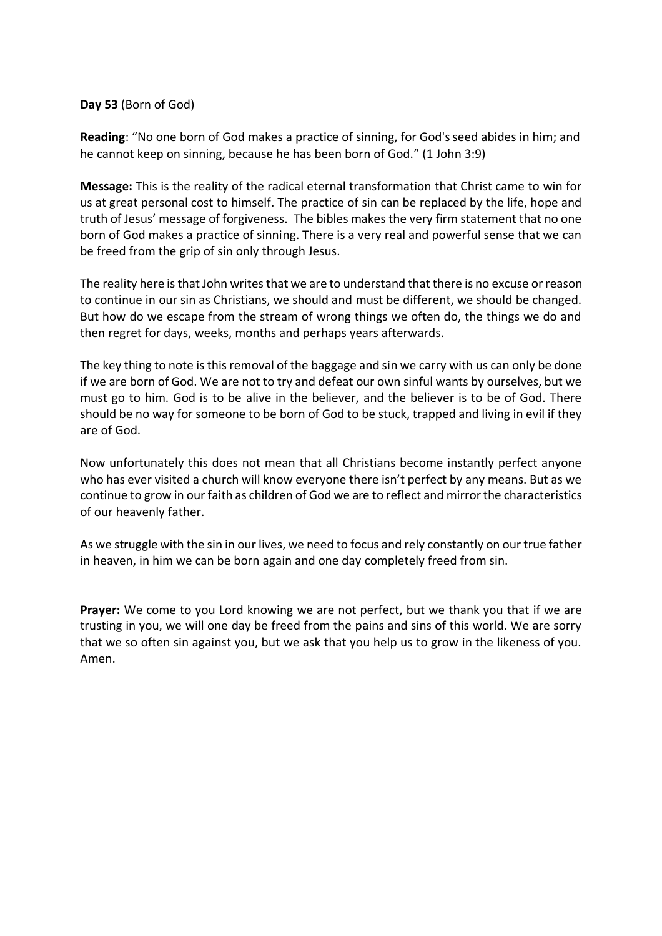**Day 53** (Born of God)

Reading: "No one born of God makes a practice of sinning, for God's seed abides in him; and he cannot keep on sinning, because he has been born of God." (1 John 3:9)

**Message:** This is the reality of the radical eternal transformation that Christ came to win for us at great personal cost to himself. The practice of sin can be replaced by the life, hope and truth of Jesus' message of forgiveness. The bibles makes the very firm statement that no one born of God makes a practice of sinning. There is a very real and powerful sense that we can be freed from the grip of sin only through Jesus.

The reality here is that John writes that we are to understand that there is no excuse or reason to continue in our sin as Christians, we should and must be different, we should be changed. But how do we escape from the stream of wrong things we often do, the things we do and then regret for days, weeks, months and perhaps years afterwards.

The key thing to note is this removal of the baggage and sin we carry with us can only be done if we are born of God. We are not to try and defeat our own sinful wants by ourselves, but we must go to him. God is to be alive in the believer, and the believer is to be of God. There should be no way for someone to be born of God to be stuck, trapped and living in evil if they are of God.

Now unfortunately this does not mean that all Christians become instantly perfect anyone who has ever visited a church will know everyone there isn't perfect by any means. But as we continue to grow in our faith as children of God we are to reflect and mirror the characteristics of our heavenly father.

As we struggle with the sin in our lives, we need to focus and rely constantly on our true father in heaven, in him we can be born again and one day completely freed from sin.

**Prayer:** We come to you Lord knowing we are not perfect, but we thank you that if we are trusting in you, we will one day be freed from the pains and sins of this world. We are sorry that we so often sin against you, but we ask that you help us to grow in the likeness of you. Amen.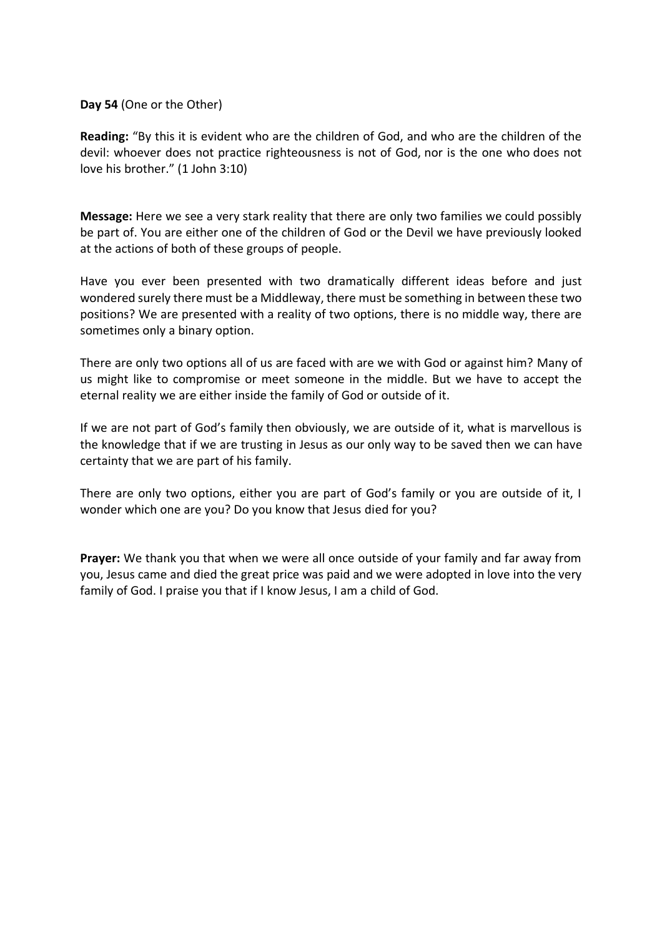**Day 54** (One or the Other)

**Reading:** "By this it is evident who are the children of God, and who are the children of the devil: whoever does not practice righteousness is not of God, nor is the one who does not love his brother." (1 John 3:10)

**Message:** Here we see a very stark reality that there are only two families we could possibly be part of. You are either one of the children of God or the Devil we have previously looked at the actions of both of these groups of people.

Have you ever been presented with two dramatically different ideas before and just wondered surely there must be a Middleway, there must be something in between these two positions? We are presented with a reality of two options, there is no middle way, there are sometimes only a binary option.

There are only two options all of us are faced with are we with God or against him? Many of us might like to compromise or meet someone in the middle. But we have to accept the eternal reality we are either inside the family of God or outside of it.

If we are not part of God's family then obviously, we are outside of it, what is marvellous is the knowledge that if we are trusting in Jesus as our only way to be saved then we can have certainty that we are part of his family.

There are only two options, either you are part of God's family or you are outside of it, I wonder which one are you? Do you know that Jesus died for you?

**Prayer:** We thank you that when we were all once outside of your family and far away from you, Jesus came and died the great price was paid and we were adopted in love into the very family of God. I praise you that if I know Jesus, I am a child of God.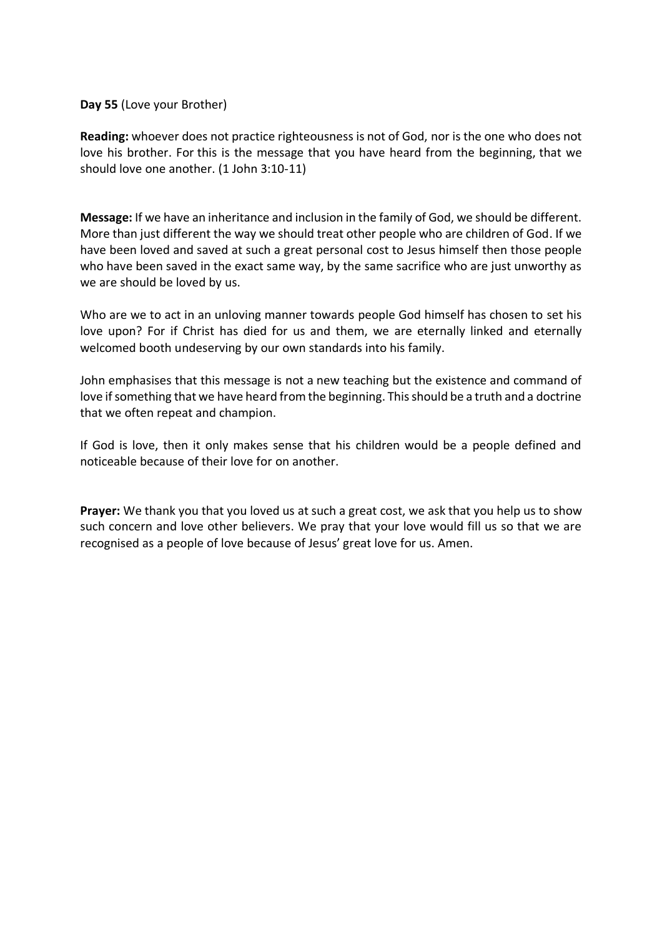**Day 55** (Love your Brother)

**Reading:** whoever does not practice righteousness is not of God, nor is the one who does not love his brother. For this is the message that you have heard from the beginning, that we should love one another. (1 John 3:10-11)

**Message:** If we have an inheritance and inclusion in the family of God, we should be different. More than just different the way we should treat other people who are children of God. If we have been loved and saved at such a great personal cost to Jesus himself then those people who have been saved in the exact same way, by the same sacrifice who are just unworthy as we are should be loved by us.

Who are we to act in an unloving manner towards people God himself has chosen to set his love upon? For if Christ has died for us and them, we are eternally linked and eternally welcomed booth undeserving by our own standards into his family.

John emphasises that this message is not a new teaching but the existence and command of love if something that we have heard from the beginning. This should be a truth and a doctrine that we often repeat and champion.

If God is love, then it only makes sense that his children would be a people defined and noticeable because of their love for on another.

**Prayer:** We thank you that you loved us at such a great cost, we ask that you help us to show such concern and love other believers. We pray that your love would fill us so that we are recognised as a people of love because of Jesus' great love for us. Amen.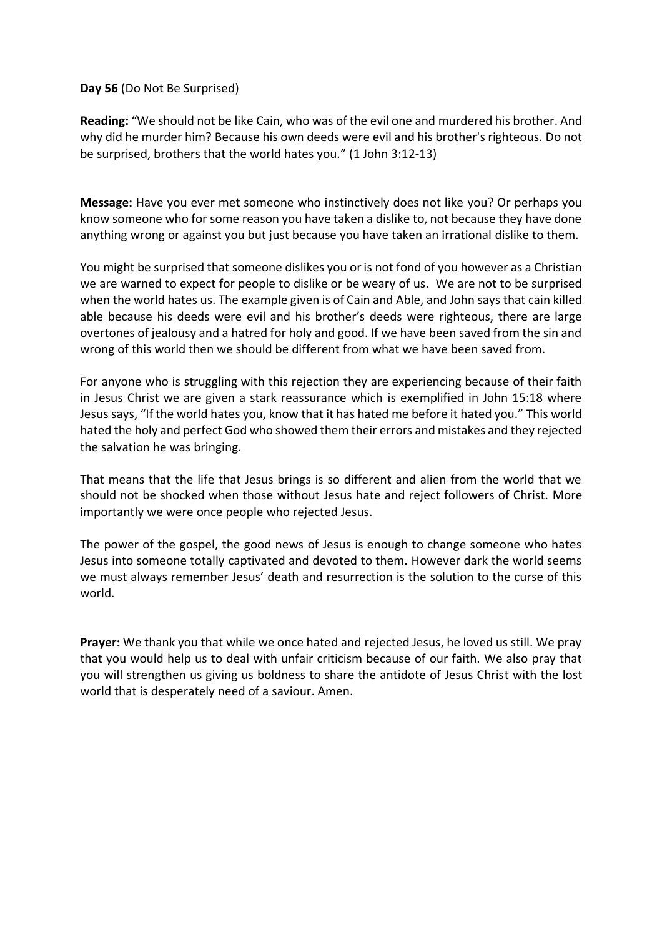**Day 56** (Do Not Be Surprised)

**Reading:** "We should not be like Cain, who was of the evil one and murdered his brother. And why did he murder him? Because his own deeds were evil and his brother's righteous. Do not be surprised, brothers that the world hates you." (1 John 3:12-13)

**Message:** Have you ever met someone who instinctively does not like you? Or perhaps you know someone who for some reason you have taken a dislike to, not because they have done anything wrong or against you but just because you have taken an irrational dislike to them.

You might be surprised that someone dislikes you or is not fond of you however as a Christian we are warned to expect for people to dislike or be weary of us. We are not to be surprised when the world hates us. The example given is of Cain and Able, and John says that cain killed able because his deeds were evil and his brother's deeds were righteous, there are large overtones of jealousy and a hatred for holy and good. If we have been saved from the sin and wrong of this world then we should be different from what we have been saved from.

For anyone who is struggling with this rejection they are experiencing because of their faith in Jesus Christ we are given a stark reassurance which is exemplified in John 15:18 where Jesus says, "If the world hates you, know that it has hated me before it hated you." This world hated the holy and perfect God who showed them their errors and mistakes and they rejected the salvation he was bringing.

That means that the life that Jesus brings is so different and alien from the world that we should not be shocked when those without Jesus hate and reject followers of Christ. More importantly we were once people who rejected Jesus.

The power of the gospel, the good news of Jesus is enough to change someone who hates Jesus into someone totally captivated and devoted to them. However dark the world seems we must always remember Jesus' death and resurrection is the solution to the curse of this world.

**Prayer:** We thank you that while we once hated and rejected Jesus, he loved us still. We pray that you would help us to deal with unfair criticism because of our faith. We also pray that you will strengthen us giving us boldness to share the antidote of Jesus Christ with the lost world that is desperately need of a saviour. Amen.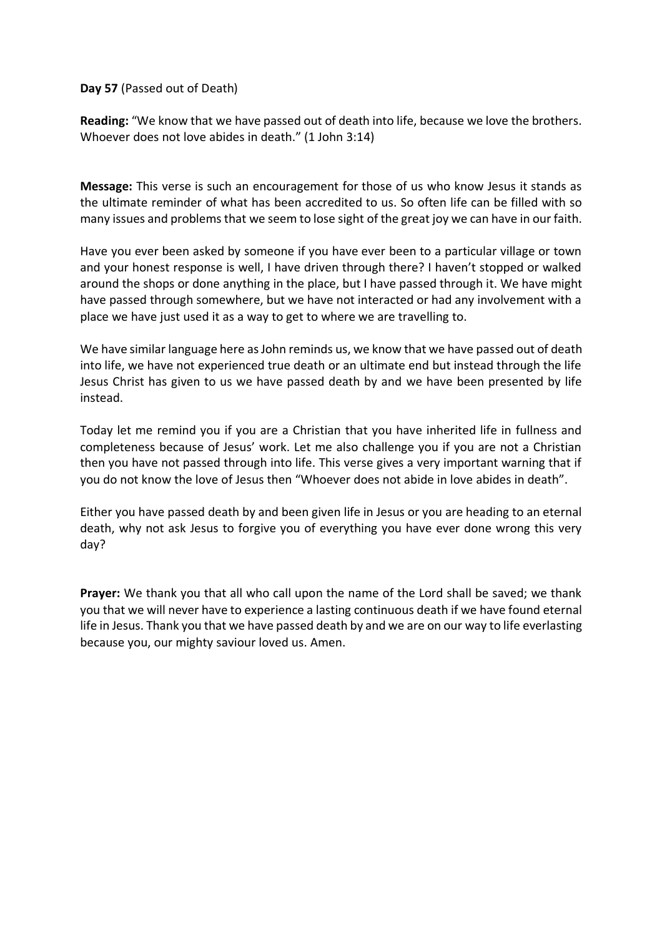**Day 57** (Passed out of Death)

**Reading:** "We know that we have passed out of death into life, because we love the brothers. Whoever does not love abides in death." (1 John 3:14)

**Message:** This verse is such an encouragement for those of us who know Jesus it stands as the ultimate reminder of what has been accredited to us. So often life can be filled with so many issues and problems that we seem to lose sight of the great joy we can have in our faith.

Have you ever been asked by someone if you have ever been to a particular village or town and your honest response is well, I have driven through there? I haven't stopped or walked around the shops or done anything in the place, but I have passed through it. We have might have passed through somewhere, but we have not interacted or had any involvement with a place we have just used it as a way to get to where we are travelling to.

We have similar language here as John reminds us, we know that we have passed out of death into life, we have not experienced true death or an ultimate end but instead through the life Jesus Christ has given to us we have passed death by and we have been presented by life instead.

Today let me remind you if you are a Christian that you have inherited life in fullness and completeness because of Jesus' work. Let me also challenge you if you are not a Christian then you have not passed through into life. This verse gives a very important warning that if you do not know the love of Jesus then "Whoever does not abide in love abides in death".

Either you have passed death by and been given life in Jesus or you are heading to an eternal death, why not ask Jesus to forgive you of everything you have ever done wrong this very day?

**Prayer:** We thank you that all who call upon the name of the Lord shall be saved; we thank you that we will never have to experience a lasting continuous death if we have found eternal life in Jesus. Thank you that we have passed death by and we are on our way to life everlasting because you, our mighty saviour loved us. Amen.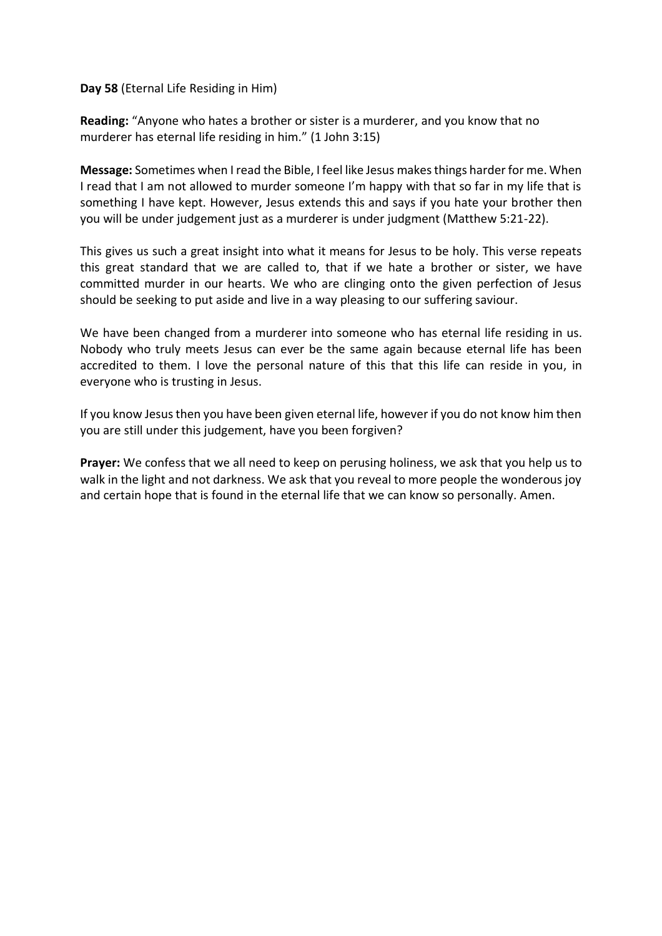## **Day 58** (Eternal Life Residing in Him)

**Reading:** "Anyone who hates a brother or sister is a murderer, and you know that no murderer has eternal life residing in him." (1 John 3:15)

**Message:** Sometimes when I read the Bible, I feel like Jesus makes things harder for me. When I read that I am not allowed to murder someone I'm happy with that so far in my life that is something I have kept. However, Jesus extends this and says if you hate your brother then you will be under judgement just as a murderer is under judgment (Matthew 5:21-22).

This gives us such a great insight into what it means for Jesus to be holy. This verse repeats this great standard that we are called to, that if we hate a brother or sister, we have committed murder in our hearts. We who are clinging onto the given perfection of Jesus should be seeking to put aside and live in a way pleasing to our suffering saviour.

We have been changed from a murderer into someone who has eternal life residing in us. Nobody who truly meets Jesus can ever be the same again because eternal life has been accredited to them. I love the personal nature of this that this life can reside in you, in everyone who is trusting in Jesus.

If you know Jesus then you have been given eternal life, however if you do not know him then you are still under this judgement, have you been forgiven?

**Prayer:** We confess that we all need to keep on perusing holiness, we ask that you help us to walk in the light and not darkness. We ask that you reveal to more people the wonderous joy and certain hope that is found in the eternal life that we can know so personally. Amen.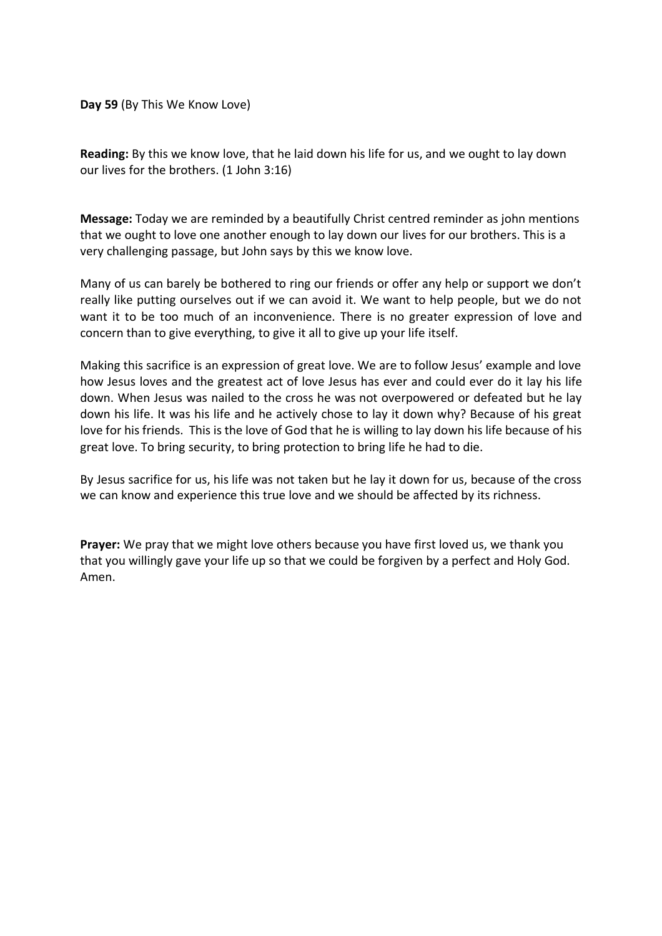**Day 59** (By This We Know Love)

**Reading:** By this we know love, that he laid down his life for us, and we ought to lay down our lives for the brothers. (1 John 3:16)

**Message:** Today we are reminded by a beautifully Christ centred reminder as john mentions that we ought to love one another enough to lay down our lives for our brothers. This is a very challenging passage, but John says by this we know love.

Many of us can barely be bothered to ring our friends or offer any help or support we don't really like putting ourselves out if we can avoid it. We want to help people, but we do not want it to be too much of an inconvenience. There is no greater expression of love and concern than to give everything, to give it all to give up your life itself.

Making this sacrifice is an expression of great love. We are to follow Jesus' example and love how Jesus loves and the greatest act of love Jesus has ever and could ever do it lay his life down. When Jesus was nailed to the cross he was not overpowered or defeated but he lay down his life. It was his life and he actively chose to lay it down why? Because of his great love for his friends. This is the love of God that he is willing to lay down his life because of his great love. To bring security, to bring protection to bring life he had to die.

By Jesus sacrifice for us, his life was not taken but he lay it down for us, because of the cross we can know and experience this true love and we should be affected by its richness.

**Prayer:** We pray that we might love others because you have first loved us, we thank you that you willingly gave your life up so that we could be forgiven by a perfect and Holy God. Amen.